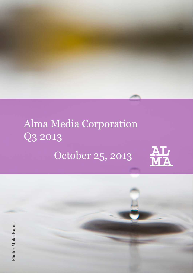# Alma Media Corporation Q3 2013 October 25, 2013



Photo: Miika Kainu Photo: Miika Kainu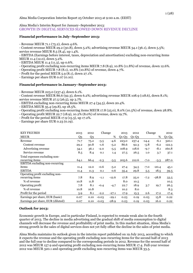#### Alma Media's Interim Report for January–September 2013: GROWTH IN DIGITAL SERVICES SLOWED DOWN REVENUE DECLINE

#### **Financial performance in July–September 2013:**

- Revenue MEUR 71.1 (75.2), down 4.6%.

- Content revenue MEUR 29.2 (30.8), down 5.2%; advertising revenue MEUR 34.1 (36.1), down 5.5%; service revenue MEUR 8.5 (8.4), up 1.4%.

- EBITDA (Earnings before interest, taxes, depreciation and amortisation) excluding non-recurring items MEUR 11.4 (12.0), down 5.2%.

- EBITDA MEUR 11.4 (11.3), up 0.6%.

- Operating profit excluding non-recurring items MEUR 7.8 (8.9), 10.8% (11.8%) of revenue, down 12.6%.

- Operating profit MEUR 7.8 (8.1), 10.8% (10.8%) of revenue, down 4.7%.

- Profit for the period MEUR 5.9 (8.1), down 27.1%.

- Earnings per share EUR 0.07 (0.10).

#### **Financial performance in January–September 2013:**

- Revenue MEUR 223.0 (237.4), down 6.1%.

- Content revenue MEUR 86.6 (92.3), down 6.2%; advertising revenue MEUR 108.9 (118.6), down 8.1%; service revenue MEUR 27.5 (26.5), up 3.7%.

- EBITDA excluding non-recurring items MEUR 27.4 (34.5), down 20.4%.

- EBITDA MEUR 35.4 (29.8), up 18.5%.

- Operating profit excluding non-recurring items MEUR 17.8 (25.0), 8.0% (10.5%) of revenue, down 28.8%.

- Operating profit MEUR 22.7 (18.9), 10.2% (8.0%) of revenue, down 19.7%.

- Profit for the period MEUR 17.9 (15.3), up 17.2%.

- Earnings per share EUR 0.23 (0.19).

| <b>KEY FIGURES</b>                    | 2013           | 2012 | Change  |         | 2013    | 2012    | Change  |         | 2012    |
|---------------------------------------|----------------|------|---------|---------|---------|---------|---------|---------|---------|
| <b>MEUR</b>                           | Q <sub>3</sub> | Q3   |         | %       | $Q1-Q3$ | $Q1-Q3$ |         | %       | $Q1-Q4$ |
| Revenue                               | 71.7           | 75.2 | $-3.5$  | $-4.6$  | 223.0   | 237.4   | $-14.4$ | $-6.1$  | 320.1   |
| Content revenue                       | 29.2           | 30.8 | $-1.6$  | $-5.2$  | 86.6    | 92.3    | $-5.8$  | $-6.2$  | 122.3   |
| Advertising revenue                   | 34.1           | 36.1 | $-2.0$  | $-5.5$  | 108.9   | 118.6   | $-9.7$  | $-8.1$  | 160.8   |
| Service revenue                       | 8.5            | 8.4  | 0.1     | 1.4     | 27.5    | 26.5    | 1.0     | 3.7     | 37.1    |
| Total expenses excluding non-         |                |      |         |         |         |         |         |         |         |
| recurring items                       | 64.1           | 66.4 | $-2.3$  | $-3.5$  | 205.6   | 212.6   | $-7.0$  | $-3.3$  | 287.0   |
| <b>EBITDA</b> excluding non-recurring |                |      |         |         |         |         |         |         |         |
| items                                 | 11.4           | 12.0 | $-0.6$  | $-5.2$  | 27.4    | 34.5    | $-7.0$  | $-20.4$ | 45.1    |
| <b>EBITDA</b>                         | 11.4           | 11.3 | 0.1     | 0.6     | 35.4    | 29.8    | 5.5     | 18.5    | 39.5    |
| Operating profit excluding non-       |                |      |         |         |         |         |         |         |         |
| recurring items                       | 7.8            | 8.9  | $-1.1$  | $-12.6$ | 17.8    | 25.0    | $-7.2$  | $-28.8$ | 33.5    |
| % of revenue                          | 10.8           | 11.8 |         |         | 8.0     | 10.5    |         |         | 10.5    |
| Operating profit                      | 7.8            | 8.1  | $-0.4$  | $-4.7$  | 22.7    | 18.9    | 3.7     | 19.7    | 26.5    |
| % of revenue                          | 10.8           | 10.8 |         |         | 10.2    | 8.0     |         |         | 8.3     |
| Profit for the period                 | 5.9            | 8.1  | $-2.2$  | $-27.1$ | 17.9    | 15.3    | 2.6     | 17.2    | 17.4    |
| Earnings per share, EUR (basic)       | 0.07           | 0.10 | $-0.03$ | $-29.1$ | 0.23    | 0.19    | 0.03    | 15.8    | 0.22    |
| Earnings per share, EUR (diluted)     | 0.07           | 0.10 | $-0.03$ | $-28.9$ | 0.23    | 0.19    | 0.03    | 16.0    | 0.22    |

#### **Outlook for 2013:**

Economic growth in Europe, and in particular Finland, is expected to remain weak also in the fourth quarter of 2013. The decline in media advertising and the gradual shift of media consumption to digital channels will decrease the revenue and profitability of print media. In this market situation, Alma Media's strong growth in the sales of digital services does not yet fully offset the decline in the sales of print media.

Alma Media maintains its outlook given in the interim report published on 19 July 2013, according to which it expects the revenue and the operating profit excluding non-recurring items for the second half of 2013 and the full year to decline compared to the corresponding periods in 2012. Revenue for the second half of 2012 was MEUR 157.9 and operating profit excluding non-recurring items MEUR 17.4. Full-year revenue 2012 was MEUR 320.1 and operating profit excluding non-recurring items was MEUR 33.5.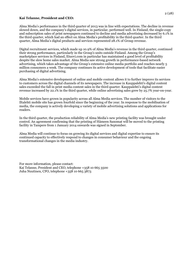#### **Kai Telanne, President and CEO:**

Alma Media's performance in the third quarter of 2013 was in line with expectations. The decline in revenue slowed down, and the company's digital services, in particular, performed well. In Finland, the single-copy and subscription sales of print newspapers continued to decline and media advertising decreased by 6.1% in the third quarter, which had an effect on Alma Media's profitability in the third quarter. In the third quarter, Alma Media's digital products and services represented 28.1% of Group revenue.

Digital recruitment services, which made up 10.9% of Alma Media's revenue in the third quarter, continued their strong performance, particularly in the Group's units outside Finland. Among the Group's marketplace services in Finland, [Etuovi.com](http://etuovi.com/) in particular has maintained a good level of profitability despite the slow home sales market. Alma Media saw strong growth in performance-based network advertising, which takes advantage of the Group's extensive online media portfolio and reaches nearly 5 million consumers a week. The company continues its active development of tools that facilitate easier purchasing of digital advertising.

Alma Media's extensive development of online and mobile content allows it to further improve its services to customers across the digital channels of its newspapers. The increase in Kauppalehti's digital content sales exceeded the fall in print media content sales in the third quarter. Kauppalehti's digital content revenue increased by 22.1% in the third quarter, while online advertising sales grew by 25.7% year-on-year.

Mobile services have grown in popularity across all Alma Media services. The number of visitors to the Iltalehti mobile site has grown fourfold since the beginning of the year. In response to the mobilisation of media, the company is actively developing a variety of mobile advertising solutions and applications for readers.

In the third quarter, the production reliability of Alma Media's new printing facility was brought under control. An agreement confirming that the printing of Hämeen Sanomat will be moved to the printing facility in Tampere from 1 January 2014 onwards was signed in September.

Alma Media will continue to focus on growing its digital services and digital expertise to ensure its continued capacity to effectively respond to changes in consumer behaviour and the ongoing transformational changes in the media industry.

For more information, please contact: Kai Telanne, President and CEO, telephone +358 10 665 3500 Juha Nuutinen, CFO, telephone +358 10 665 3873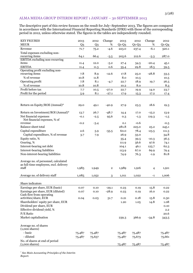# ALMA MEDIA GROUP INTERIM REPORT 1 JANUARY – 30 SEPTEMBER 2013

The descriptive part of this review focuses on the result for July–September 2013. The figures are compared in accordance with the International Financial Reporting Standards (IFRS) with those of the corresponding period in 2012, unless otherwise stated. The figures in the tables are independently rounded.

| <b>KEY FIGURES</b>                      | 2013           | 2012           | Change                  | 2013    | 2012    | Change         | 2012    |
|-----------------------------------------|----------------|----------------|-------------------------|---------|---------|----------------|---------|
| <b>MEUR</b>                             | Q <sub>3</sub> | Q <sub>3</sub> | %                       | $Q1-Q3$ | $Q1-Q3$ | %              | $Q1-Q4$ |
| Revenue                                 | 71.7           | 75.2           | $-4.6$                  | 223.0   | 237.4   | $-6.1$         | 320.1   |
| Total expenses excluding non-           |                |                |                         |         |         |                |         |
| recurring items                         | 64.1           | 66.4           | $-3.5$                  | 205.6   | 212.6   | $-3.3$         | 287.0   |
| <b>EBITDA</b> excluding non-recurring   |                |                |                         |         |         |                |         |
| items                                   | 11.4           | 12.0           | $-5.2$                  | 27.4    | 34.5    | $-20.4$        | 45.1    |
| <b>EBITDA</b>                           | 11.4           | 11.3           | 0.6                     | 35.4    | 29.8    | 18.5           | 39.5    |
| Operating profit excluding non-         |                |                |                         |         |         |                |         |
| recurring items                         | 7.8            | 8.9            | $-12.6$                 | 17.8    | 25.0    | $-28.8$        | 33.5    |
| % of revenue                            | 10.8           | 11.8           |                         | 8.0     | 10.5    |                | 10.5    |
| Operating profit                        | 7.8            | 8.1            | $-4.7$                  | 22.7    | 18.9    | 19.7           | 26.5    |
| % of revenue                            | 10.8           | 10.8           |                         | 10.2    | 8.0     |                | 8.3     |
| Profit before tax                       | 7.7            | 10.5           | $-27.0$                 | 22.7    | 19.9    | 14.0           | 23.7    |
| Profit for the period                   | 5.9            | 8.1            | $-27.1$                 | 17.9    | 15.3    | 17.2           | 17.4    |
|                                         |                |                |                         |         |         |                |         |
|                                         |                |                |                         |         |         |                |         |
| Return on Equity/ROE (Annual)*          | 29.0           | 49.1           | $-40.9$                 | 27.9    | 23.5    | 18.6           | 19.3    |
|                                         |                |                |                         |         |         |                |         |
| Return on Investment/ROI (Annual)*      | 13.7           | 26.7           | $-48.7$                 | 14.4    | 17.0    | $-15.2$        | 13.9    |
| Net financial expenses                  | $-0.1$         | $-2.5$         | 95.6                    | 0.3     | $-1.3$  | 119.3          | $-1.5$  |
| Net financial expenses, % of<br>revenue | $-0.2$         |                |                         | 0.1     | $-0.6$  |                |         |
| Balance sheet total                     |                | $-3.4$         |                         | 281.8   |         |                | $-0.5$  |
| Capital expenditure                     |                |                |                         | 60.0    | 225.0   | 25.2           | 245.1   |
|                                         | 2.6            | 5.9            | $-55.5$                 |         | 78.4    | $-23.5$        | 111.3   |
| Capital expenditure, % of revenue       | 3.7            | 7.9            |                         | 26.9    | 33.0    |                | 34.8    |
| Equity ratio, %                         |                |                |                         | 35.4    | 39.5    | $-10.3$        | 36.5    |
| Gearing, %                              |                |                |                         | 111.9   | 56.6    | 97.6           | 74.1    |
| Interest-bearing net debt               |                |                |                         | 104.1   | 46.1    | 125.7          | 62.3    |
| Interest-bearing liabilities            |                |                |                         | 113.9   | 67.0    | 69.9           | 79.4    |
| Non-interest-bearing liabilities        |                |                |                         | 74.9    | 76.3    | $-1.9$         | 81.8    |
| Average no. of personnel, calculated    |                |                |                         |         |         |                |         |
| as full-time employees, excl. delivery  |                |                |                         |         |         |                |         |
| staff                                   | 1,985          | 1,949          | $\overline{\mathbf{2}}$ | 1,989   | 1,916   | $\overline{4}$ | 1,911   |
|                                         |                |                |                         |         |         |                |         |
| Average no. of delivery staff           | 1,085          | 1,052          | 3                       | 1,011   | 1,022   | $-1$           | 1,006   |
|                                         |                |                |                         |         |         |                |         |
| Share indicators                        |                |                |                         |         |         |                |         |
| Earnings per share, EUR (basic)         | 0.07           | $0.10\,$       | $-29.1$                 | 0.23    | 0.19    | 15.8           | 0.22    |
| Earnings per share, EUR (diluted)       | 0.07           | 0.10           | $-28.9$                 | 0.23    | 0.19    | 16.0           | 0.22    |
| Cash flow from operating                |                |                |                         |         |         |                |         |
| activities/share, EUR                   | 0.04           | 0.03           | 51.7                    | 0.21    | 0.18    | 15.8           | 0.30    |
| Shareholders' equity per share, EUR     |                |                |                         | 1.20    | 1.05    | 14.8           | 1.08    |
| Dividend per share, EUR                 |                |                |                         |         |         |                | 0.10    |
| Effective dividend yield, %             |                |                |                         |         |         |                | 2.2     |
| P/E Ratio                               |                |                |                         |         |         |                | 20.6    |
| Market capitalisation                   |                |                |                         | 239.3   | 366.9   | $-34.8$        | 343.5   |
|                                         |                |                |                         |         |         |                |         |
| Average no. of shares                   |                |                |                         |         |         |                |         |
| $(1,000 \text{ shares})$                |                |                |                         |         |         |                |         |
| - basic                                 | 75,487         | 75,487         |                         | 75,487  | 75,487  |                | 75,487  |
| - diluted                               | 75,487         | 75,657         |                         | 75,487  | 75,673  |                | 75,661  |
| No. of shares at end of period          |                |                |                         |         |         |                |         |
| $(1,000 \text{ shares})$                |                |                |                         | 75,487  | 75,487  |                | 75,487  |

\* *See Main Accounting Principles of the Interim Report.*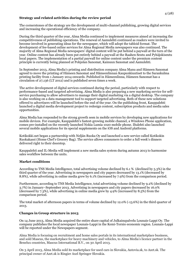#### **Strategy and related activities during the review period**

The cornerstones of the strategy are the development of multi-channel publishing, growing digital services and increasing the operational efficiency of the company.

During the third quarter of the year, Alma Media continued to implement measures aimed at increasing the competitiveness of publishing operations. The renewal of Aamulehti continued as readers were invited to become involved in generating ideas for the newspaper, which will adopt the tabloid format. The development of fee-based online services for Alma Regional Media newspapers was also continued. The majority of Alma Regional Media newspapers' digital content will be put behind a paywall at the turn of the year. Online content has already been put entirely behind a paywall at the Raahen Seutu and Pyhäjokiseutu local papers. The implementation of a partial paywall for online content under the premium content principle is currently being planned at Pohjolan Sanomat, Kainuun Sanomat and Aamulehti.

In September 2013, Alma Media's printing and distribution company Alma Manu and Hämeen Sanomat agreed to move the printing of Hämeen Sanomat and Hämeenlinnan Kaupunkiuutiset to the Sarankulma printing facility from 1 January 2014 onwards. Published in Hämeenlinna, Hämeen Sanomat has a circulation of 27,136 (LT 2012) and is published seven times a week.

The active development of digital services continued during the period, particularly with respect to performance-based and targeted advertising. Alma Media is also preparing a new marketing service for selfservice purchasing to allow advertisers to manage their digital marketing via a digital desktop. The company is also working on a data management tool to support targeted advertising. Both of these new solutions offered to advertisers will be launched before the end of the year. On the publishing front, Kauppalehti launched a digital media development project to redesign content, subscription products and media sales opportunities.

Alma Media has responded to the strong growth seen in mobile services by developing new applications for mobile devices. For example, Kauppalehti's fastest-growing mobile channel, a Windows Phone application, comes pre-installed on the recently launched Nokia Lumia 1020 mobile phone. Iltalehti also launched several mobile applications for its special supplements on the iOS and Android platforms.

Kotikokki.net began a partnership with Neljän Ruoka Oy and launched a new service called Kotikokin Ruokakassi (Home Chef's Grocery Bag). The service allows consumers to order a full week's dinners delivered right to their doorstep.

Kauppalehti and IL-Media will implement a new media sales system during autumn 2013 to harmonise sales workflow between the units.

#### **Market conditions**

According to TNS Media Intelligence, total advertising volume declined by 6.1 % (declined by 5.3%) in the third quarter of the year. Advertising in newspapers and city papers decreased by 13.1% (decreased by 8.8%), while advertising in online media grew by 6.1% (increased by 7.9%) from the comparison period.

Furthermore, according to TNS Media Intelligence, total advertising volume declined by 9.2% (declined by 3.7%) in January–September 2013. Advertising in newspapers and city papers decreased by 16.0% (decreased by 7.3%), while advertising in online media grew by 4.9% (increased by 8.5%) from the comparison period.

The total market of afternoon papers in terms of volume declined by 12.0% (-13.6%) in the third quarter of 2013.

#### **Changes in Group structure in 2013**

On 14 June 2013, Alma Media acquired the entire share capital of Julkaisupalvelu Lounais-Lappi Oy. The company publishes the local newspaper Lounais-Lappi in the Kemi-Tornio economic region. Lounais-Lappi will be reported under the Newspapers segment.

Alma Media is focusing on recruitment and home sales portals in its international marketplace business, and sold Mascus, the marketplace for heavy machinery and vehicles, to Alma Media's licence partner in the Benelux countries, Mascus International B.V., on 30 April 2013.

On 3 April 2013, Alma Media sold its marketplace for used cars in Slovakia, Autovia.sk, to Azet.sk. The principal owner of Azet.sk is Ringier Axel Springer Slovakia.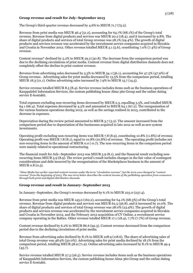#### **Group revenue and result for July–September 2013**

The Group's third-quarter revenue decreased by 4.6% to MEUR 71.7 (75.2).

Revenue from print media was MEUR 46.4 (51.2), accounting for 64.7% (68.1%) of the Group's total revenue. Revenue from digital products and services was MEUR 20.2 (18.4), and it increased by 9.8%. The share of digital products and services of total Group revenue was 28.1% (24.4%). The growth of digital products and services revenue was accelerated by the recruitment service companies acquired in Slovakia and Croatia in November 2012. Other revenue totalled MEUR 5.1 (5.6), constituting 7.0% (7.4%) of Group revenue.

Content revenue\* declined by 5.2% to MEUR 29.2 (30.8). The decrease from the comparison period was due to the declining circulations of print media. Content revenue from digital distribution channels does not completely offset the decline in print content revenue.

Revenue from advertising sales decreased by 5.5% to MEUR 34.1 (36.1), accounting for 47.5% (47.9%) of Group revenue. Advertising sales for print media decreased by 13.5% from the comparison period, totalling MEUR 18.3 (21.1). Online advertising sales increased by 7.9% to MEUR 15.7 (14.5).

Service revenue totalled MEUR 8.5 (8.4). Service revenue includes items such as the business operations of Kauppalehti Information Services, the custom publishing house Alma 360 Group and the online dating service E-kontakti.

Total expenses excluding non-recurring items decreased by MEUR 2.3, equalling 3.5%, and totalled MEUR 64.1 (66.4). Total expenses decreased by 4.5% and amounted to MEUR 64.1 (67.2). The reorganisation of the various business operations during 2012, as well as the savings realised in 2013, contributed to the decrease in expenses.

Depreciation during the review period amounted to MEUR 3.7 (3.2). The amount increased from the comparison period due to depreciation of the businesses acquired in late 2012 as well as new system investments.

Operating profit excluding non-recurring items was MEUR 7.8 (8.9), constituting 10.8% (11.8%) of revenue. Operating profit was MEUR 7.8 (8.1), equal to 10.8% (10.8%) of revenue. The operating profit includes net non-recurring items in the amount of MEUR 0.0 (-0.7). The non-recurring items in the comparison period were mainly related to operational restructuring.

The financial result for July–September 2013 was MEUR 5.9 (8.1), and the financial result excluding nonrecurring items MEUR 5.9 (8.9). The review period's result includes changes in the fair value of contingent considerations and debt incurred by the reorganisation of the Marketplaces business in the amount of MEUR 0.8 (0.5).

*\*Alma Media has earlier reported content revenue under the term "circulation revenue", but the term was changed to "content revenue" from the beginning of 2013. The new term better describes the content income of the publishing operation from consumers through both print and digital distribution channels.*

#### **Group revenue and result in January–September 2013**

In January–September, the Group's revenue decreased by 6.1% to MEUR 223.0 (237.4).

Revenue from print media was MEUR 143.0 (162.2), accounting for 64.1% (68.3%) of the Group's total revenue. Revenue from digital products and services was MEUR 62.5 (56.8), and it increased by 10.0%. The share of digital products and services of total Group revenue was 28.0% (23.9%). The growth of digital products and services revenue was accelerated by the recruitment service companies acquired in Slovakia and Croatia in November 2012, and the February 2012 acquisition of CV Online, a recruitment service company operating in the Baltics. Other revenue totalled MEUR 17.1 (18.4), 7.7% (7.7%) of Group revenue.

Content revenue declined by 6.2% to MEUR 86.6 (92.3). Content revenue decreased from the comparison period due to the declining circulations of print media.

Revenue from advertising sales declined by 8.1% to MEUR 108.9 (118.6). The share of advertising sales of total Group revenue was 48.9% (50.0%). Advertising sales for print media declined by 18.1% from the comparison period, totalling MEUR 58.9 (71.9). Online advertising sales increased by 8.1% to MEUR 49.4  $(45.7)$ .

Service revenue totalled MEUR 27.5 (26.5). Service revenue includes items such as the business operations of Kauppalehti Information Services, the custom publishing house Alma 360 Group and the online dating service E-kontakti.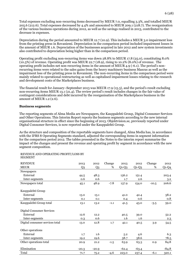Total expenses excluding non-recurring items decreased by MEUR 7.0, equalling 3.3%, and totalled MEUR 205.6 (212.6). Total expenses decreased by 4.4% and amounted to MEUR 209.1 (218.7). The reorganisation of the various business operations during 2012, as well as the savings realised in 2013, contributed to the decrease in expenses.

Depreciation during the period amounted to MEUR 12.7 (10.9). This includes a MEUR 3.0 impairment loss from the printing press in Rovaniemi. Depreciation in the comparison period included impairment losses in the amount of MEUR 1.6. Depreciation of the businesses acquired in late 2012 and new system investments also contributed to depreciation being higher than in the comparison period.

Operating profit excluding non-recurring items was down 28.8% to MEUR 17.8 (25.0), constituting 8.0% (10.5%) of revenue. Operating profit was MEUR 22.7 (18.9), rising to 10.2% (8.0%) of revenue. The operating profit includes net non-recurring items in the amount of MEUR 4.9 (-6.1). The period's nonrecurring items were related to the sales gains from the heavy machinery business Mascus as well as the impairment loss of the printing press in Rovaniemi. The non-recurring items in the comparison period were mainly related to operational restructuring as well as capitalised impairment losses relating to the research and development costs of the Marketplaces business.

The financial result for January–September 2013 was MEUR 17.9 (15.3), and the period's result excluding non-recurring items MEUR 13.1 (21.4). The review period's result includes changes in the fair value of contingent considerations and debt incurred by the reorganisation of the Marketplaces business in the amount of MEUR 1.2 (2.6).

#### **Business segments**

The reporting segments of Alma Media are Newspapers, the Kauppalehti Group, Digital Consumer Services and Other Operations. This Interim Report reports the business segments according to the new internal organisational structure in effect since the beginning of 2013. Objektvision.se, previously reported under Digital Consumer Services, is now reported under the Kauppalehti Group.

As the structure and composition of the reportable segments have changed, Alma Media has, in accordance with the IFRS 8 Operating Segments standard, adjusted the corresponding items in segment information for the comparison period 2012. The tables presented in the Notes to the interim report summarise the impact of the changes and present the revenue and operating profit by segment in accordance with the new segment composition.

#### REVENUE AND OPERATING PROFIT/LOSS BY SEGMENT

| <b>REVENUE</b>                   | 2013           | 2012           | Change | 2013    | 2012    | Change  | 2012             |
|----------------------------------|----------------|----------------|--------|---------|---------|---------|------------------|
| <b>MEUR</b>                      | Q <sub>3</sub> | Q <sub>3</sub> | %      | $Q1-Q3$ | $Q1-Q3$ | %       | $Q1-Q4$          |
| Newspapers                       |                |                |        |         |         |         |                  |
| External                         | 44.5           | 48.3           |        | 136.2   | 151.4   |         | 203.4            |
| Inter-segments                   | 0.6            | 0.6            |        | 1.7     | 2.6     |         | $3.2\phantom{0}$ |
| Newspapers total                 | 45.1           | 48.9           | $-7.8$ | 137.9   | 154.0   | $-10.5$ | 206.6            |
| Kauppalehti Group                |                |                |        |         |         |         |                  |
| External                         | 13.0           | 13.1           |        | 41.0    | 42.4    |         | 58.2             |
| Inter-segments                   | 0.1            | 0.1            |        | 0.4     | 0.6     |         | 0.8              |
| Kauppalehti Group total          | 13.1           | 13.2           | $-1.1$ | 41.5    | 43.0    | $-3.5$  | 59.0             |
| <b>Digital Consumer Services</b> |                |                |        |         |         |         |                  |
| External                         | 12.6           | 12.2           |        | 40.5    | 39.0    |         | 52.2             |
| Inter-segments                   | 0.3            | 0.6            |        | 1.6     | 1.6     |         | 2.3              |
| Digital consumer services total  | 13.0           | 12.8           | 1.7    | 42.1    | 40.5    | 3.9     | 54.5             |
| Other operations                 |                |                |        |         |         |         |                  |
| External                         | 1.7            | 1.6            |        | 5.2     | 4.6     |         | 6.3              |
| Inter-segments                   | 19.2           | <u>19.6</u>    |        | 58.7    | 58.6    |         | 78.5             |
| Other operations total           | 20.9           | 21.2           | $-1.5$ | 63.9    | 63.3    | 0.9     | 84.8             |
| Elimination                      | $-20.3$        | $-20.9$        |        | $-62.4$ | $-63.4$ |         | $-84.8$          |
| Total                            | 71.7           | 75.2           | $-4.6$ | 223.0   | 237.4   | $-6.1$  | 320.1            |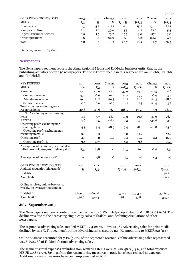| <b>OPERATING PROFIT/LOSS</b> | 2013    | 2012    | Change   | 2013    | 2012   | Change   | 2012    |
|------------------------------|---------|---------|----------|---------|--------|----------|---------|
| <b>MEUR</b>                  | Q3      | Q3      | %        | $Q1-Q3$ | Q1-Q3  | %        | $Q1-Q4$ |
| Newspapers                   | 4.3     | 5.2     | $-17.1$  | 9.4     | 15.2   | $-38.1$  | 22.1    |
| Kauppalehti Group            | $2.2\,$ | 1.6     | 39.9     | 5.3     | 4.2    | 27.0     | 5.5     |
| Digital Consumer Services    | 1.9     | $1.5\,$ | 23.7     | 15.5    | 3.0    | 417.1    | 3.8     |
| Other operations             | $-0.6$  | $-0.1$  | $-362.6$ | $-7.3$  | $-3.2$ | $-127.9$ | $-4.7$  |
| Total                        | 7.8     | 8.1     | $-4.7$   | 22.7    | 18.9   | 19.7     | 26.5    |

7 (28)

*\* Including non-recurring items.*

#### **Newspapers**

The Newspapers segment reports the Alma Regional Media and IL-Media business units, that is, the publishing activities of over 30 newspapers. The best-known media in this segment are Aamulehti, Iltalehti and Iltalehti.fi.

| <b>MEUR</b><br>Q <sub>3</sub><br>%<br>$Q1-Q3$<br>%<br>Q <sub>3</sub><br>$Q1-Q3$<br>$Q1-Q4$<br>206.6<br>Revenue<br>48.9<br>$-7.8$<br>137.9<br>154.0<br>$-10.5$<br>45.1<br>26.6<br>$-6.2$<br>Content revenue<br>$-6.9$<br>105.3<br>25.0<br>74.2<br>79.7<br>Advertising revenue<br>61.7<br>98.0<br>$-10.3$<br>72.0<br>19.4<br>21.7<br>$-14.3$<br>Service revenue<br>0.6<br>0.7<br>10.7<br>2.1<br>2.3<br>$-11.4$<br>3.2<br>Total expenses excluding non-<br>recurring items<br>181.1<br>40.8<br>128.5<br>$-6.5$<br>43.6<br>135.7<br>$-5.3$<br>EBITDA excluding non-recurring<br>$-18.3$<br>4.6<br>26.9<br>items<br>10.3<br>5.7<br>19.4<br>$-47.0$<br><b>EBITDA</b><br>$-16.5$<br>4.6<br>$-35.6$<br>5.5<br>10.3<br>15.9<br>23.2<br>Operating profit excluding non-<br>recurring items<br>$-48.8$<br>$-18.9$<br>18.4<br>25.6<br>4.3<br>5.4<br>9.4<br>Operating profit excluding non-<br>recurring items, %<br>6.8<br>9.6<br>10.9<br>11.9<br>12.4<br>Operating profit<br>$-38.1$<br>5.2<br>22.1<br>4.3<br>$-17.1$<br>9.4<br>15.2<br>Operating profit, %<br>6.8<br>9.8<br>9.6<br>10.7<br>10.7<br>Average no. of personnel, calculated as<br>full-time employees, excl. delivery staff<br>839<br>805<br>863<br>$-6.6$<br>858<br>838<br>$-2$<br>Average no. of delivery staff <sup>*</sup><br>98<br>85<br>98<br>-6<br>98<br>Q <sub>2</sub><br>$-13$<br>OPERATIONAL KEY FIGURES<br>2013<br>2012<br>2013<br>2012<br>2012<br>Audited circulation (thousands)<br>Q <sub>3</sub><br>Q <sub>3</sub><br>$Q1-Q3$<br>$Q1-Q3$<br>$Q1-Q4$<br>Iltalehti<br>91.2<br>Aamulehti<br>121.1<br>Online services, unique browsers,<br>weekly, on average (thousands)<br>Iltalehti.fi<br>2,690.6<br>3,280.7<br>3,670.0<br>3,327.4<br>3,333.1<br>Aamulehti.fi<br>386.6<br>388.3<br>347.8<br>319.4<br>355.5 | <b>KEY FIGURES</b> | 2013 | 2012 | Change | 2013 | 2012 | Change | 2012 |
|----------------------------------------------------------------------------------------------------------------------------------------------------------------------------------------------------------------------------------------------------------------------------------------------------------------------------------------------------------------------------------------------------------------------------------------------------------------------------------------------------------------------------------------------------------------------------------------------------------------------------------------------------------------------------------------------------------------------------------------------------------------------------------------------------------------------------------------------------------------------------------------------------------------------------------------------------------------------------------------------------------------------------------------------------------------------------------------------------------------------------------------------------------------------------------------------------------------------------------------------------------------------------------------------------------------------------------------------------------------------------------------------------------------------------------------------------------------------------------------------------------------------------------------------------------------------------------------------------------------------------------------------------------------------------------------------------------------------------------------------------------------------------|--------------------|------|------|--------|------|------|--------|------|
|                                                                                                                                                                                                                                                                                                                                                                                                                                                                                                                                                                                                                                                                                                                                                                                                                                                                                                                                                                                                                                                                                                                                                                                                                                                                                                                                                                                                                                                                                                                                                                                                                                                                                                                                                                            |                    |      |      |        |      |      |        |      |
|                                                                                                                                                                                                                                                                                                                                                                                                                                                                                                                                                                                                                                                                                                                                                                                                                                                                                                                                                                                                                                                                                                                                                                                                                                                                                                                                                                                                                                                                                                                                                                                                                                                                                                                                                                            |                    |      |      |        |      |      |        |      |
|                                                                                                                                                                                                                                                                                                                                                                                                                                                                                                                                                                                                                                                                                                                                                                                                                                                                                                                                                                                                                                                                                                                                                                                                                                                                                                                                                                                                                                                                                                                                                                                                                                                                                                                                                                            |                    |      |      |        |      |      |        |      |
|                                                                                                                                                                                                                                                                                                                                                                                                                                                                                                                                                                                                                                                                                                                                                                                                                                                                                                                                                                                                                                                                                                                                                                                                                                                                                                                                                                                                                                                                                                                                                                                                                                                                                                                                                                            |                    |      |      |        |      |      |        |      |
|                                                                                                                                                                                                                                                                                                                                                                                                                                                                                                                                                                                                                                                                                                                                                                                                                                                                                                                                                                                                                                                                                                                                                                                                                                                                                                                                                                                                                                                                                                                                                                                                                                                                                                                                                                            |                    |      |      |        |      |      |        |      |
|                                                                                                                                                                                                                                                                                                                                                                                                                                                                                                                                                                                                                                                                                                                                                                                                                                                                                                                                                                                                                                                                                                                                                                                                                                                                                                                                                                                                                                                                                                                                                                                                                                                                                                                                                                            |                    |      |      |        |      |      |        |      |
|                                                                                                                                                                                                                                                                                                                                                                                                                                                                                                                                                                                                                                                                                                                                                                                                                                                                                                                                                                                                                                                                                                                                                                                                                                                                                                                                                                                                                                                                                                                                                                                                                                                                                                                                                                            |                    |      |      |        |      |      |        |      |
|                                                                                                                                                                                                                                                                                                                                                                                                                                                                                                                                                                                                                                                                                                                                                                                                                                                                                                                                                                                                                                                                                                                                                                                                                                                                                                                                                                                                                                                                                                                                                                                                                                                                                                                                                                            |                    |      |      |        |      |      |        |      |
|                                                                                                                                                                                                                                                                                                                                                                                                                                                                                                                                                                                                                                                                                                                                                                                                                                                                                                                                                                                                                                                                                                                                                                                                                                                                                                                                                                                                                                                                                                                                                                                                                                                                                                                                                                            |                    |      |      |        |      |      |        |      |
|                                                                                                                                                                                                                                                                                                                                                                                                                                                                                                                                                                                                                                                                                                                                                                                                                                                                                                                                                                                                                                                                                                                                                                                                                                                                                                                                                                                                                                                                                                                                                                                                                                                                                                                                                                            |                    |      |      |        |      |      |        |      |
|                                                                                                                                                                                                                                                                                                                                                                                                                                                                                                                                                                                                                                                                                                                                                                                                                                                                                                                                                                                                                                                                                                                                                                                                                                                                                                                                                                                                                                                                                                                                                                                                                                                                                                                                                                            |                    |      |      |        |      |      |        |      |
|                                                                                                                                                                                                                                                                                                                                                                                                                                                                                                                                                                                                                                                                                                                                                                                                                                                                                                                                                                                                                                                                                                                                                                                                                                                                                                                                                                                                                                                                                                                                                                                                                                                                                                                                                                            |                    |      |      |        |      |      |        |      |
|                                                                                                                                                                                                                                                                                                                                                                                                                                                                                                                                                                                                                                                                                                                                                                                                                                                                                                                                                                                                                                                                                                                                                                                                                                                                                                                                                                                                                                                                                                                                                                                                                                                                                                                                                                            |                    |      |      |        |      |      |        |      |
|                                                                                                                                                                                                                                                                                                                                                                                                                                                                                                                                                                                                                                                                                                                                                                                                                                                                                                                                                                                                                                                                                                                                                                                                                                                                                                                                                                                                                                                                                                                                                                                                                                                                                                                                                                            |                    |      |      |        |      |      |        |      |
|                                                                                                                                                                                                                                                                                                                                                                                                                                                                                                                                                                                                                                                                                                                                                                                                                                                                                                                                                                                                                                                                                                                                                                                                                                                                                                                                                                                                                                                                                                                                                                                                                                                                                                                                                                            |                    |      |      |        |      |      |        |      |
|                                                                                                                                                                                                                                                                                                                                                                                                                                                                                                                                                                                                                                                                                                                                                                                                                                                                                                                                                                                                                                                                                                                                                                                                                                                                                                                                                                                                                                                                                                                                                                                                                                                                                                                                                                            |                    |      |      |        |      |      |        |      |
|                                                                                                                                                                                                                                                                                                                                                                                                                                                                                                                                                                                                                                                                                                                                                                                                                                                                                                                                                                                                                                                                                                                                                                                                                                                                                                                                                                                                                                                                                                                                                                                                                                                                                                                                                                            |                    |      |      |        |      |      |        |      |
|                                                                                                                                                                                                                                                                                                                                                                                                                                                                                                                                                                                                                                                                                                                                                                                                                                                                                                                                                                                                                                                                                                                                                                                                                                                                                                                                                                                                                                                                                                                                                                                                                                                                                                                                                                            |                    |      |      |        |      |      |        |      |
|                                                                                                                                                                                                                                                                                                                                                                                                                                                                                                                                                                                                                                                                                                                                                                                                                                                                                                                                                                                                                                                                                                                                                                                                                                                                                                                                                                                                                                                                                                                                                                                                                                                                                                                                                                            |                    |      |      |        |      |      |        |      |
|                                                                                                                                                                                                                                                                                                                                                                                                                                                                                                                                                                                                                                                                                                                                                                                                                                                                                                                                                                                                                                                                                                                                                                                                                                                                                                                                                                                                                                                                                                                                                                                                                                                                                                                                                                            |                    |      |      |        |      |      |        |      |
|                                                                                                                                                                                                                                                                                                                                                                                                                                                                                                                                                                                                                                                                                                                                                                                                                                                                                                                                                                                                                                                                                                                                                                                                                                                                                                                                                                                                                                                                                                                                                                                                                                                                                                                                                                            |                    |      |      |        |      |      |        |      |
|                                                                                                                                                                                                                                                                                                                                                                                                                                                                                                                                                                                                                                                                                                                                                                                                                                                                                                                                                                                                                                                                                                                                                                                                                                                                                                                                                                                                                                                                                                                                                                                                                                                                                                                                                                            |                    |      |      |        |      |      |        |      |
|                                                                                                                                                                                                                                                                                                                                                                                                                                                                                                                                                                                                                                                                                                                                                                                                                                                                                                                                                                                                                                                                                                                                                                                                                                                                                                                                                                                                                                                                                                                                                                                                                                                                                                                                                                            |                    |      |      |        |      |      |        |      |
|                                                                                                                                                                                                                                                                                                                                                                                                                                                                                                                                                                                                                                                                                                                                                                                                                                                                                                                                                                                                                                                                                                                                                                                                                                                                                                                                                                                                                                                                                                                                                                                                                                                                                                                                                                            |                    |      |      |        |      |      |        |      |
|                                                                                                                                                                                                                                                                                                                                                                                                                                                                                                                                                                                                                                                                                                                                                                                                                                                                                                                                                                                                                                                                                                                                                                                                                                                                                                                                                                                                                                                                                                                                                                                                                                                                                                                                                                            |                    |      |      |        |      |      |        |      |
|                                                                                                                                                                                                                                                                                                                                                                                                                                                                                                                                                                                                                                                                                                                                                                                                                                                                                                                                                                                                                                                                                                                                                                                                                                                                                                                                                                                                                                                                                                                                                                                                                                                                                                                                                                            |                    |      |      |        |      |      |        |      |
|                                                                                                                                                                                                                                                                                                                                                                                                                                                                                                                                                                                                                                                                                                                                                                                                                                                                                                                                                                                                                                                                                                                                                                                                                                                                                                                                                                                                                                                                                                                                                                                                                                                                                                                                                                            |                    |      |      |        |      |      |        |      |
|                                                                                                                                                                                                                                                                                                                                                                                                                                                                                                                                                                                                                                                                                                                                                                                                                                                                                                                                                                                                                                                                                                                                                                                                                                                                                                                                                                                                                                                                                                                                                                                                                                                                                                                                                                            |                    |      |      |        |      |      |        |      |
|                                                                                                                                                                                                                                                                                                                                                                                                                                                                                                                                                                                                                                                                                                                                                                                                                                                                                                                                                                                                                                                                                                                                                                                                                                                                                                                                                                                                                                                                                                                                                                                                                                                                                                                                                                            |                    |      |      |        |      |      |        |      |
|                                                                                                                                                                                                                                                                                                                                                                                                                                                                                                                                                                                                                                                                                                                                                                                                                                                                                                                                                                                                                                                                                                                                                                                                                                                                                                                                                                                                                                                                                                                                                                                                                                                                                                                                                                            |                    |      |      |        |      |      |        |      |
|                                                                                                                                                                                                                                                                                                                                                                                                                                                                                                                                                                                                                                                                                                                                                                                                                                                                                                                                                                                                                                                                                                                                                                                                                                                                                                                                                                                                                                                                                                                                                                                                                                                                                                                                                                            |                    |      |      |        |      |      |        |      |

#### **July–September 2013**

The Newspapers segment's content revenue declined by 6.2% in July–September to MEUR 25.0 (26.6). The decline was due to the decreasing single-copy sales of Iltalehti and declining circulations of other newspapers.

The segment's advertising sales totalled MEUR 19.4 (21.7), down 10.3%. Advertising sales for print media declined by 14.4%. The segment's online advertising sales grew by 22.5%, amounting to MEUR 3.0 (2.4).

Online business accounted for 7.1% (5.0%) of the segment's revenue. Online advertising sales represented 59.2% (50.2%) of IL-Media's total advertising sales.

The segment's total expenses excluding non-recurring items were MEUR 40.8 (43.6) and total expenses MEUR 40.8 (43.7). Savings from the restructuring measures in 2012 have been realised as expected. Additional savings measures have been implemented in 2013.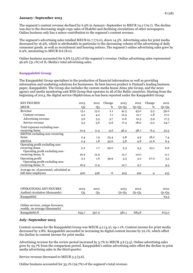#### **January–September 2013**

The segment's content revenue declined by 6.9% in January–September to MEUR 74.2 (79.7). The decline was due to the decreasing single-copy sales of Iltalehti and declining circulations of other newspapers. Online business only has a minor contribution to the segment's content revenue.

The segment's advertising sales totalled MEUR 61.7 (72.0), down 14.3%. Advertising sales for print media decreased by 16.9%, which is attributable in particular to the decreasing volume of the advertising of daily consumer goods, as well as recruitment and housing notices. The segment's online advertising sales grew by 6.9%, amounting to MEUR 8.6 (8.0).

Online business accounted for 6.6% (5.3%) of the segment's revenue. Online advertising sales represented 56.9% (51.1%) of IL-Media's total advertising sales.

#### **Kauppalehti Group**

The Kauppalehti Group specialises in the production of financial information as well as providing information and marketing solutions for businesses. Its best-known product is Finland's leading business paper, Kauppalehti. The Group also includes the custom media house Alma 360 Group, and the news agency and media monitoring unit BNS Group that operates in all of the Baltic countries. Starting from the beginning of 2013, the digital service Objektvision.se has been reported under the Kauppalehti Group.

| $Q1-Q4$<br>59.0 |
|-----------------|
|                 |
|                 |
| 17.0            |
| 17.3            |
| 24.7            |
|                 |
| 52.5            |
|                 |
| 7.4             |
| 6.4             |
|                 |
| 6.6             |
|                 |
| 11.1            |
| 5.5             |
|                 |
| 9.3             |
|                 |
| 415             |
|                 |
|                 |
|                 |
| 2012            |
| $Q1-Q4$         |
| 63.5            |
|                 |
|                 |
|                 |
|                 |

| weekly, on average (thousands) |    |         |                 |     |  |
|--------------------------------|----|---------|-----------------|-----|--|
| T<br>Ka.                       | 0. | $-0.70$ | <b>הזה</b><br>. | n - |  |
|                                |    |         |                 |     |  |

#### **July–September 2013**

Content revenue for the Kauppalehti Group was MEUR 4.2 (4.2), up 1.1%. Content income for print media decreased by 2.8%. Kauppalehti succeeded in increasing its digital content income by 22.1%, which offset the decline in content income for print media.

Advertising revenue for the review period increased by 3.7% to MEUR 3.6 (3.5). Online advertising sales grew by 25.7% from the comparison period. Kauppalehti's online advertising sales offset the decline in print media advertising sales in the third quarter.

Service revenue decreased to MEUR 5.3 (5.6).

Online business accounted for 35.1% (29.7%) of the segment's total revenue.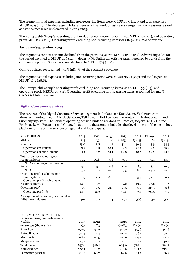The segment's total expenses excluding non-recurring items were MEUR 10.9 (11.5) and total expenses MEUR 10.9 (11.7). The decrease in total expenses is the result of last year's reorganisation measures, as well as savings measures implemented in early 2013.

The Kauppalehti Group's operating profit excluding non-recurring items was MEUR 2.2 (1.7), and operating profit MEUR 2.2 (1.6). Operating profit excluding non-recurring items was 16.9% (12.9%) of revenue.

#### **January–September 2013**

The segment's content revenue declined from the previous year to MEUR 12.4 (12.7). Advertising sales for the period declined to MEUR 11.6 (12.3), down 5.9%. Online advertising sales increased by 12.7% from the comparison period. Service revenue declined to MEUR 17.4 (18.0).

Online business represented 33.1% (28.9%) of the segment's revenue.

The segment's total expenses excluding non-recurring items were MEUR 36.2 (38.7) and total expenses MEUR 36.2 (38.8).

The Kauppalehti Group's operating profit excluding non-recurring items was MEUR 5.3 (4.3), and operating profit MEUR 5.3 (4.2). Operating profit excluding non-recurring items accounted for 12.7% (10.0%) of total revenue.

#### **Digital Consumer Services**

The services of the Digital Consumer Services segment in Finland are Etuovi.com, Vuokraovi.com, Monster.fi, Autotalli.com, MyyJaOsta.com, Telkku.com, Kotikokki.net, E-kontakti.fi, Nytmatkaan.fi and Suomenyritykset.fi. The services operating outside Finland are Jobs.cz, Prace.cz, topjobs.sk, CV Online, Profesia.sk, MojPosao.net and City24. In addition, the segment includes the development of the technology platform for the online services of regional and local papers.

| <b>KEY FIGURES</b>                      | 2013 | 2012           | Change  | 2013    | 2012    | Change  | 2012    |
|-----------------------------------------|------|----------------|---------|---------|---------|---------|---------|
| <b>MEUR</b>                             | Q3   | Q <sub>3</sub> | %       | $Q1-Q3$ | $Q1-Q3$ | %       | $Q1-Q4$ |
| Revenue                                 | 13.0 | 12.8           | 1.7     | 42.1    | 40.5    | 3.9     | 54.5    |
| Operations in Finland                   | 5.9  | 6.5            | $-10.1$ | 19.3    | 22.1    | $-12.5$ | 29.2    |
| Operations outside Finland              | 7.1  | 6.2            | 14.1    | 22.8    | 18.5    | 23.5    | 25.2    |
| Total expenses excluding non-           |      |                |         |         |         |         |         |
| recurring items                         | 11.2 | 10.8           | 3.6     | 35.1    | 35.2    | $-0.4$  | 48.3    |
| EBITDA excluding non-recurring          |      |                |         |         |         |         |         |
| items                                   | 3.2  | 3.1            | 2.6     | 11.2    | 8.7     | 28.4    | 10.9    |
| <b>EBITDA</b>                           | 3.2  | 2.7            | 19.6    | 19.5    | 8.0     | 145.0   | 10.0    |
| Operating profit excluding non-         |      |                |         |         |         |         |         |
| recurring items                         | 1.9  | 2.0            | $-6.0$  | 7.1     | 5.4     | 33.2    | 6.3     |
| Operating profit excluding non-         |      |                |         |         |         |         |         |
| recurring items, %                      | 14.5 | 15.7           |         | 17.0    | 13.2    | 28.2    | 11.6    |
| Operating profit                        | 1.9  | 1.5            | 23.7    | 15.5    | 3.0     | 417.1   | 3.8     |
| Operating profit, %                     | 14.5 | 11.9           |         | 36.8    | 7.4     | 397.5   | 7.0     |
| Average no. of personnel, calculated as |      |                |         |         |         |         |         |
| full-time employees                     | 491  | 397            | 24      | 497     | 366     | 36      | 392     |

#### OPERATIONAL KEY FIGURES Online services, unique browsers,

| OILITTE SEIVICES, UITIQUE DIOWSEIS, |       |       |         |         |         |
|-------------------------------------|-------|-------|---------|---------|---------|
| weekly,                             | 2013  | 2012  | 2013    | 2012    | 2012    |
| on average (thousands)              | Q3    | Q3    | $Q1-Q3$ | $Q1-Q3$ | $Q1-Q4$ |
| Etuovi.com                          | 492.9 | 391.9 | 462.0   | 415.6   | 414.6   |
| Autotalli.com                       | 134.4 | 94.4  | 125.7   | 106.1   | 107.2   |
| Monster.fi                          | 98.8  | 93.5  | 102.6   | 103.1   | 101.2   |
| MyviaOsta.com                       | 23.2  | 24.2  | 23.7    | 32.1    | 30.2    |
| Telkku.com                          | 657.8 | 596.1 | 683.0   | 725.6   | 714.2   |
| Kotikokki.net                       | 350.1 | 168.2 | 316.9   | 183.7   | 213.8   |
| Suomenyritykset.fi                  | 64.6  | 66.7  | 62.9    | 69.7    | 66.9    |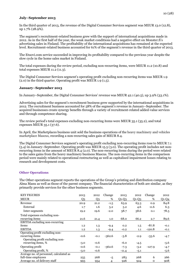#### **July–September 2013**

In the third quarter of 2013, the revenue of the Digital Consumer Services segment was MEUR 13.0 (12.8), up 1.7% (28.9%).

The segment's recruitment-related business grew with the support of international acquisitions made in 2012. As in the first half of the year, the weak market conditions had a negative effect on Monster.fi's advertising sales in Finland. The profitability of the international acquisitions has remained at the expected level. Recruitment-related business accounted for 61% of the segment's revenue in the third quarter of 2013.

The Etuovi.com service succeeded in improving its profitability compared to the previous year despite the slow cycle in the home sales market in Finland.

The total expenses during the review period, excluding non-recurring items, were MEUR 11.2 (10.8) and total expenses MEUR 11.2 (11.3).

The Digital Consumer Services segment's operating profit excluding non-recurring items was MEUR 1.9 (2.0) in the third quarter. Operating profit was MEUR 1.9 (1.5).

#### **January–September 2013**

In January–September, the Digital Consumer Services' revenue was MEUR 42.1 (40.5), up 3.9% (33.1%).

Advertising sales for the segment's recruitment business grew supported by the international acquisitions in 2012. The recruitment business accounted for 58% of the segment's revenue in January–September. The acquired businesses create synergy benefits through a variety of recruitment-related added-value services and through competence sharing.

The review period's total expenses excluding non-recurring items were MEUR 35.1 (35.2), and total expenses MEUR 35.1 (37.6).

In April, the Marketplaces business unit sold the business operations of the heavy machinery and vehicles marketplace Mascus, recording a non-recurring sales gain of MEUR 8.4.

The Digital Consumer Services segment's operating profit excluding non-recurring items rose to MEUR 7.1 (5.4) in January–September. Operating profit was MEUR 15.5 (3.0). The operating profit includes net nonrecurring items in the amount of MEUR 8.4 (2.0). The non-recurring items during the period were related to the sales gains from the heavy machinery business Mascus. The non-recurring items in the comparison period were mainly related to operational restructuring as well as capitalised impairment losses relating to research and development costs.

#### **Other Operations**

The Other operations segment reports the operations of the Group's printing and distribution company Alma Manu as well as those of the parent company. The financial characteristics of both are similar, as they primarily provide services for the other business segments.

| <b>KEY FIGURES</b>                      | 2013           | 2012           | Change   | 2013    | 2012    | Change      | 2012    |
|-----------------------------------------|----------------|----------------|----------|---------|---------|-------------|---------|
| <b>MEUR</b>                             | Q <sub>3</sub> | Q <sub>3</sub> | %        | $Q1-Q3$ | $Q1-Q3$ | %           | $Q1-Q4$ |
| Revenue                                 | 20.9           | 21.2           | $-1.5$   | 63.9    | 63.3    | 0.9         | 84.8    |
| External                                | 1.7            | 1.6            | 5.2      | 5.2     | 4.6     | 11.6        | 6.3     |
| Inter-segments                          | 19.2           | 19.6           | $-2.0$   | 58.7    | 58.6    | 0.1         | 78.5    |
| Total expenses excluding non-           |                |                |          |         |         |             |         |
| recurring items                         | 21.6           | 21.4           | 1.0      | 68.0    | 66.2    | 2.7         | 89.6    |
| EBITDA excluding non-recurring          |                |                |          |         |         |             |         |
| items                                   | 1,2            | 1.3            | $-9.4$   | 0.2     | 1.5     | $-87.8$     | $-0.1$  |
| <b>EBITDA</b>                           | 1,2            | 1.3            | $-9.4$   | $-0.2$  | 1.1     | $-120.8$    | $-0.1$  |
| Operating profit excluding non-         |                |                |          |         |         |             |         |
| recurring items                         | $-0.6$         | $-0.1$         | $-362.6$ | $-3.8$  | $-2.9$  | $-33.6$     | $-4.7$  |
| Operating profit excluding non-         |                |                |          |         |         |             |         |
| recurring items, %                      | $-3.0$         | $-0.6$         |          | $-6.0$  | $-4.5$  |             | $-5.6$  |
| Operating profit                        | $-0.6$         | $-0.1$         | $-362.6$ | $-7.3$  | $-3.2$  | $-127.9$    | $-4.7$  |
| Operating profit, %                     | $-3.0$         | $-0.6$         |          | $-11.4$ | $-5.1$  |             | $-5.6$  |
| Average no. of personnel, calculated as |                |                |          |         |         |             |         |
| full-time employees                     | 255            | 268            | $-5$     | 283     | 268     | 6           | 266     |
| Average no. of delivery staff           | 993            | 954            | 4        | 926     | 924     | $\mathbf 0$ | 908     |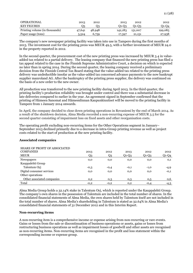| <b>OPERATIONAL</b>             | 2013   | 2012   | 2013    | 2012    | 2012    |
|--------------------------------|--------|--------|---------|---------|---------|
| KEY FIGURES                    |        |        | Q1-Q3   | 01-03   | Q1-Q4   |
| Printing volume (in thousands) | 47,641 | 48,948 | 142,183 | 151,007 | 199,085 |
| Paper usage (tons)             | 5,524  | 6,759  | 17,397  | 21,151  | 27,938  |

The company's new newspaper printing facility was taken into use in Tampere during the first months of 2013. The investment cost for the printing press was MEUR 49.5, with a further investment of MEUR 24.0 in the property reported in 2012.

In the second quarter, the procurement cost of the new printing press was increased by MEUR 3.4 in valueadded tax related to a partial delivery. The leasing company that financed the new printing press has filed a tax appeal related to the case in the Finnish Supreme Administrative Court, a decision on which is expected no later than in spring 2014. During the second quarter, the leasing company received a preliminary decision from the Finnish Central Tax Board stating that the value-added tax related to the printing press delivery was undeductible insofar as the value-added tax concerned advance payments to the now bankrupt supplier manroland AG. After the bankruptcy of the printing press supplier, the delivery was continued on the basis of a new order to the new owner.

All production was transferred to the new printing facility during April 2013. In the third quarter, the printing facility's production reliability was brought under control and there was a substantial decrease in late deliveries compared to earlier in the year. An agreement signed in September confirmed that the printing of Hämeen Sanomat and Hämeenlinnan Kaupunkiuutiset will be moved to the printing facility in Tampere from 1 January 2014 onwards.

In April, the company decided to close down printing operations in Rovaniemi by the end of March 2014. As a result of the shutdown decision, Alma Media recorded a non-recurring expense of MEUR 3.5 for the second quarter consisting of impairment loss on fixed assets and other reorganisation costs.

The operating profit excluding non-recurring items for the Other Operations segment in January– September 2013 declined primarily due to a decrease in intra-Group printing revenue as well as project costs related to the start of production at the new printing facility.

#### **Associated companies**

| <b>SHARE OF PROFIT OF ASSOCIATED</b> |          |        |           |           |        |
|--------------------------------------|----------|--------|-----------|-----------|--------|
| <b>COMPANIES</b>                     | 2013     | 2012   | 2013      | 2012      | 2012   |
| <b>MEUR</b>                          | Q3       | Q3     | $Q1 - Q3$ | $Q1 - Q3$ | Q1-Q4  |
| Newspapers                           | $_{0,0}$ | 0,0    | 0,0       | $_{0,0}$  | 0,1    |
| Kauppalehti Group                    |          |        |           |           |        |
| Talentum Oyj                         | $-0,3$   | $-0,4$ | $-0,1$    | $-1,0$    | $-4,9$ |
| Digital consumer services            | $_{0,0}$ | 0,0    | 0,0       | 0,0       | $-0,1$ |
| Other operations                     |          |        |           |           |        |
| Other associated companies           | 0,2      | 0,3    | 0,3       | 0,5       | 0,6    |
| Total                                | $-0,2$   | $-0,2$ | 0,2       | $-0,4$    | $-4,3$ |

Alma Media Group holds a 32.14% stake in Talentum Oyj, which is reported under the Kauppalehti Group. The company's own shares in the possession of Talentum are included in the total number of shares. In the consolidated financial statements of Alma Media, the own shares held by Talentum itself are not included in the total number of shares. Alma Media's shareholding in Talentum is stated as 32.64% in Alma Media's consolidated financial statements of 31 December 2012 and in this Interim Report.

#### **Non-recurring items**

A non-recurring item is a comprehensive income or expense arising from non-recurring or rare events. Gains or losses from the sale or discontinuation of business operations or assets, gains or losses from restructuring business operations as well as impairment losses of goodwill and other assets are recognised as non-recurring items. Non-recurring items are recognised in the profit and loss statement within the corresponding income or expense group.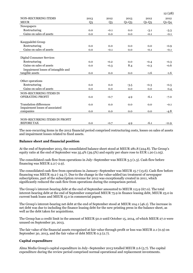|                                     |       |                |         |         | 12(28)  |
|-------------------------------------|-------|----------------|---------|---------|---------|
| NON-RECURRING ITEMS                 | 2013  | 2012           | 2013    | 2012    | 2012    |
| <b>MEUR</b>                         | $Q_3$ | Q <sub>3</sub> | $Q1-Q3$ | $Q1-Q3$ | $Q1-Q4$ |
| <b>Newspapers</b>                   |       |                |         |         |         |
| Restructuring                       | 0.0   | $-0.1$         | 0.0     | $-3.1$  | $-3.3$  |
| Gains on sales of assets            | 0.0   | 0.0            | 0.0     | $-0.1$  | $-0.1$  |
|                                     |       |                |         |         |         |
| Kauppalehti Group                   |       |                |         |         |         |
| Restructuring                       | 0.0   | 0.0            | 0.0     | 0.0     | $-0.9$  |
| Gains on sales of assets            | 0.0   | $-0.1$         | 0.0     | $-0.1$  | $-0.1$  |
|                                     |       |                |         |         |         |
| <b>Digital Consumer Services</b>    |       |                |         |         |         |
| Restructuring                       | 0.0   | $-0.2$         | 0.0     | $-0.4$  | $-0.3$  |
| Gains on sales of assets            | 0.0   | $-0.3$         | 8.4     | $-0.3$  | $-0.6$  |
| Impairment losses of intangible and |       |                |         |         |         |
| tangible assets                     | 0.0   | 0.0            | 0.0     | $-1.6$  | $-1.6$  |
|                                     |       |                |         |         |         |
| Other operations                    |       |                |         |         |         |
| Restructuring                       | 0.0   | 0.0            | $-3.5$  | $-0.3$  | $-0.5$  |
| Gains on sales of assets            | 0.0   | 0.0            | 0.0     | 0.0     | 0.4     |
| NON-RECURRING ITEMS IN              |       |                |         |         |         |
| OPERATING PROFIT                    | 0.0   | $-0.7$         | 4.9     | $-6.1$  | $-7.0$  |
|                                     |       |                |         |         |         |
| <b>Translation differences</b>      | 0.0   | 0.0            | 0.0     | 0.0     | $-0.1$  |
| Impairment losses of associated     |       |                |         |         |         |
| companies                           | 0.0   | 0.0            | 0.0     | 0.0     | -4.8    |
|                                     |       |                |         |         |         |
| NON-RECURRING ITEMS IN PROFIT       |       |                |         |         |         |
| <b>BEFORE TAX</b>                   | 0.0   | $-0.7$         | 4.9     | $-6.1$  | $-11.9$ |

The non-recurring items in the 2012 financial period comprised restructuring costs, losses on sales of assets and impairment losses related to fixed assets.

#### **Balance sheet and financial position**

At the end of September 2013, the consolidated balance sheet stood at MEUR 281.8 (224.8). The Group's equity ratio at the end of September was 35.4% (39.5%) and equity per share rose to EUR 1.20 (1.05).

The consolidated cash flow from operations in July–September was MEUR 3.3 (1.3). Cash flow before financing was MEUR 2.2 (-2.9).

The consolidated cash flow from operations in January–September was MEUR 15.7 (13.6). Cash flow before financing was MEUR 19.2 (-24.7). Due to the change in the value-added tax treatment of newspaper subscriptions, part of the subscription revenue for 2012 was exceptionally created in 2011, which significantly reduced the cash flow from operations during the comparison period.

The Group's interest-bearing debt at the end of September amounted to MEUR 113.9 (67.0). The total interest-bearing debt at the end of September comprised MEUR 75.9 in finance leasing debt, MEUR 23.0 in current bank loans and MEUR 15.0 in commercial papers.

The Group's interest-bearing net debt at the end of September stood at MEUR 104.1 (46.1). The increase in net debt was due to including the finance leasing debt for the new printing press in the balance sheet, as well as the debt taken for acquisitions.

The Group has a credit limit in the amount of MEUR 50.0 until October 15, 2014, of which MEUR 27.0 were unused on September 30, 2013.

The fair value of the financial assets recognised at fair value through profit or loss was MEUR 2.1 (0.9) on September 30, 2013, and the fair value of debt MEUR 0.3 (2.7).

#### **Capital expenditure**

Alma Media Group's capital expenditure in July–September 2013 totalled MEUR 2.6 (5.7). The capital expenditure during the review period comprised normal operational and replacement investments.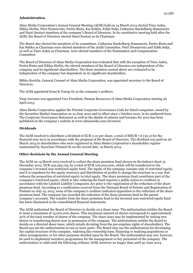#### **Administration**

Alma Media Corporation's Annual General Meeting (AGM) held on 14 March 2013 elected Timo Aukia, Niklas Herlin, Petri Niemisvirta, Perttu Rinta, Kai Seikku, Erkki Solja, Catharina Stackelberg-Hammarén and Harri Suutari members of the company's Board of Directors. In its constitutive meeting held after the AGM, the Board of Directors elected Harri Suutari as its Chairman.

The Board also elected the members of its committees. Catharina Stackelberg-Hammarén, Perttu Rinta and Kai Seikku as Chairman were elected members of the Audit Committee. Petri Niemisvirta and Erkki Solja, as well as Timo Aukia as Chairman, were elected members of the Nomination and Compensation Committee.

The Board of Directors of Alma Media Corporation has evaluated that with the exception of Timo Aukia, Perttu Rinta and Niklas Herlin, the elected members of the Board of Directors are independent of the company and its significant shareholders. The three members named above are evaluated to be independent of the company but dependent on its significant shareholders.

Mikko Korttila, General Counsel of Alma Media Corporation, was appointed secretary to the Board of Directors.

The AGM appointed Ernst & Young Oy as the company's auditors.

Virpi Juvonen was appointed Vice President, Human Resources of Alma Media Corporation starting 26 April 2013.

Alma Media Corporation applies the Finnish Corporate Governance Code for listed companies, issued by the Securities Market Association on 15 June 2010 and in effect since 1 October 2010, in its unaltered form. The Corporate Governance Statement as well as the details of salaries and bonuses for 2012 has been published on the company's website at www.almamedia.com/investors.

#### **Dividends**

The AGM resolved to distribute a dividend of EUR 0.10 per share, a total of MEUR 7.6 (30.2) for the financial year 2012 in accordance with the proposal of the Board of Directors. The dividend was paid on 26 March 2013 to shareholders who were registered in Alma Media Corporation's shareholder register maintained by Euroclear Finland Oy on the record date, 19 March 2013.

#### **Other decisions by the Annual General Meeting**

The AGM on 14 March 2013 resolved to reduce the share premium fund shown on the balance sheet 31 December 2012, EUR 419,295,759, by a total of EUR 100,000,000, which will be transferred to the company's invested non-restricted equity fund. The equity of the company consists only of restricted equity, and it is expedient for the equity structure and distribution of profits to change the structure in a way that reduces the proportion of restricted equity in total equity. The share premium fund constitutes part of the company's restricted equity, which is why reducing the fund requires a public notice to creditors in accordance with the Limited Liability Companies Act prior to the registration of the reduction of the share premium fund. According to a notification received from the National Board of Patents and Registration of Finland on July 19, 2013, none of the company's creditors indicated opposition to the reduction of the share premium fund. The company has recorded the reduction of the share premium fund in the parent company's accounts. The transfer from the share premium fund to the invested non-restricted equity fund has been eliminated in the consolidated financial statements.

The AGM authorised the Board of Directors to decide on a share issue. The authorisation entitles the Board to issue a maximum of 15,000,000 shares. This maximum amount of shares corresponds to approximately 20% of the total number of shares of the company. The share issue may be implemented by issuing new shares or transferring shares now in possession of the company. The authorisation entitles the Board to decide on a directed share issue, which entails deviating from the pre-emption rights of shareholders. The Board can use the authorisation in one or more parts. The Board may use the authorisation for developing the capital structure of the company, widening the ownership base, financing or realising acquisitions or other arrangements, or for other purposes decided upon by the Board. The authorisation may not, however, be used to implement incentive programmes for the management or key personnel of the company. The authorisation is valid until the following ordinary AGM, however no longer than until 30 June 2014.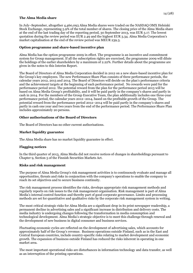#### **The Alma Media share**

In July–September, altogether 4,460,093 Alma Media shares were traded on the NASDAQ OMX Helsinki Stock Exchange, representing 5.9% of the total number of shares. The closing price of the Alma Media share at the end of the last trading day of the reporting period, 30 September 2013, was EUR 3.17. The lowest quotation during the review period was EUR 2.49 and the highest EUR 3.34. Alma Media Corporation's market capitalisation at the end of the review period was MEUR 239.3.

#### **Option programme and share-based incentive plan**

Alma Media has the option programme 2009 in effect. The programme is an incentive and commitment system for Group management. If all the subscription rights are exercised, the programme 2009 will dilute the holdings of the earlier shareholders by a maximum of 2.22%. Further details about the programme are given in the notes to this Interim Report.

The Board of Directors of Alma Media Corporation decided in 2012 on a new share-based incentive plan for the Group's key employees. The new Performance Share Plan consists of three performance periods, the calendar years 2012, 2013 and 2014. The Board of Directors will decide on the plan's performance criteria and the achievement targets at the beginning of each performance period. No rewards were paid for the performance period 2012. The potential reward from the plan for the performance period 2013 will be based on Alma Media Group's profitability, and it will be paid partly in the company's shares and partly in cash in 2014. For the members of the Group Executive Team, the plan additionally includes one three-year performance period, the calendar years 2012–2014, based on the profitable growth of the Group. The potential reward from the performance period 2012–2014 will be paid partly in the company's shares and partly in cash one year and two years from the end of the performance period. The Performance Share Plan includes approximately 20 persons.

### **Other authorisations of the Board of Directors**

The Board of Directors has no other current authorisations.

#### **Market liquidity guarantee**

The Alma Media share has no market liquidity guarantee in effect.

#### **Flagging notices**

In the third quarter of 2013, Alma Media did not receive notices of changes in shareholdings pursuant to Chapter 9, Section 5 of the Finnish Securities Markets Act.

#### **Risks and risk management**

The purpose of Alma Media Group's risk management activities is to continuously evaluate and manage all opportunities, threats and risks in conjunction with the company's operations to enable the company to reach its set objectives and to secure business continuity.

The risk management process identifies the risks, develops appropriate risk management methods and regularly reports on risk issues to the risk management organisation. Risk management is part of Alma Media's internal control function and thereby part of good corporate governance. Limits and processing methods are set for quantitative and qualitative risks by the corporate risk management system in writing.

The most critical strategic risks for Alma Media are a significant drop in its print newspaper readership, a permanent decline in advertising sales and a significant increase in distribution and delivery costs. The media industry is undergoing changes following the transformation in media consumption and technological development. Alma Media's strategic objective is to meet this challenge through renewal and the development of new business in digital consumer and business services.

Fluctuating economic cycles are reflected on the development of advertising sales, which accounts for approximately half of the Group's revenue. Business operations outside Finland, such as in the East and Central European countries, include country-specific risks relating to market development and economic growth. The expansion of business outside Finland has reduced the risks inherent in operating in one market area.

The most important operational risks are disturbances in information technology and data transfer, as well as an interruption of the printing operations.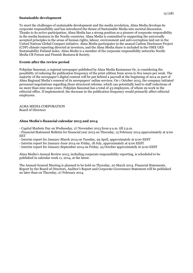#### **Sustainable development**

To meet the challenges of sustainable development and the media revolution, Alma Media develops its corporate responsibility and has introduced the theme of Sustainable Media into societal discussion. Thanks to its active participation, Alma Media has a strong position as a pioneer of corporate responsibility in the media business in the Nordic countries. Alma Media is committed to supporting the universally accepted principles in the areas of human rights, labour, environment and anti-corruption laid out in the United Nations Global Compact initiative. Alma Media participates in the annual Carbon Disclosure Project (CDP) climate reporting directed at investors, and the Alma Media share is included in the OMX GES Sustainability Finland index. Alma Media is a member of the corporate responsibility networks Nordic Media CR Forum and Finnish Business & Society.

#### **Events after the review period**

Pohjolan Sanomat, a regional newspaper published by Alma Media Kustannus Oy, is considering the possibility of reducing the publication frequency of the print edition from seven to five issues per week. The majority of the newspaper's digital content will be put behind a paywall at the beginning of 2014 as part of Alma Regional Media's renewal of its newspapers' online services. On 1 October 2013, the company initiated personnel negotiations regarding these structural reforms, which can potentially lead to staff reductions of no more than nine man-years. Pohjolan Sanomat has a total of 43 employees, of whom 29 work in the editorial office. If implemented, the decrease in the publication frequency would primarily affect editorial employees.

ALMA MEDIA CORPORATION Board of Directors

#### **Alma Media's financial calendar 2013 and 2014**

- Capital Markets Day on Wednesday, 27 November 2013 from 9 a.m. till 2 p.m.

- Financial Statement Bulletin for financial year 2013 on Thursday, 13 February 2014 approximately at 9:00 **EET** 

- Interim report for January-March 2014 on Tuesday, 29 April, approximately at 9:00 EEST

- Interim report for January-June 2014 on Friday, 18 July, approximately at 9:00 EEST

- Interim report for January-September 2014 on Friday, 24 October approximately at 9:00 EEST

Alma Media's Annual Review 2013, including corporate responsibility reporting, is scheduled to be published in calendar week 11, 2014, at the latest.

The Annual General Meeting is planned to be held on Thursday, 20 March 2014. Financial Statements, Report by the Board of Directors, Auditor's Report and Corporate Governance Statement will be published no later than on Thursday, 27 February 2014.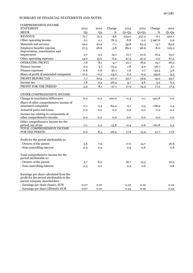#### SUMMARY OF FINANCIAL STATEMENTS AND NOTES

| <b>STATEMENT</b>                          | 2013   | 2012   | Change  | 2013    | 2012    | Change           | 2012   |
|-------------------------------------------|--------|--------|---------|---------|---------|------------------|--------|
| <b>MEUR</b>                               | $Q_3$  | $Q_3$  | %       | $Q1-Q3$ | $Q1-Q3$ | %                | Q1-Q4  |
| <b>REVENUE</b>                            | 71.7   | 75.2   | $-4.6$  | 223.0   | 237.4   | $-6.1$           | 320.1  |
| Other operating income                    | 0.1    | 0.1    | 78.3    | 8.8     | 0.2     | 3 9 9 7.6        | 0.9    |
| Materials and services                    | 19.0   | 20.4   | $-7.1$  | 59.8    | 63.4    | $-5.7$           | 84.9   |
| Employee benefits expense                 | 27.5   | 28.6   | $-3.8$  | 89.2    | 96.9    | $-8.0$           | 129.3  |
| Depreciation, amortisation and            |        |        |         |         |         |                  |        |
| impairment                                | 3.7    | 3.2    | 14.1    | 12.7    | 10.9    | 16.4             | 13.0   |
| Other operating expenses                  | 14.0   | 15.0   | $-6.4$  | 47.5    | 47.5    | 0.0              | 67.2   |
| <b>OPERATING PROFIT</b>                   | 7.8    | 8.1    | $-4.7$  | 22.7    | 18.9    | 19.7             | 26.5   |
| Finance income                            | 0.9    | 3.1    | $-72.4$ | 1.8     | 4.0     | $-56.7$          | 5.1    |
| Finance expenses                          | 0.8    | 0.6    | 36.1    | 1.8     | 2.7     | $-33.4$          | 3.6    |
| Share of profit of associated companies   | $-0.2$ | $-0.2$ | $-14.0$ | 0.2     | $-0.4$  | 159.6            | $-4.3$ |
| PROFIT BEFORE TAX                         | 7.7    | 10.5   | $-27.0$ | 22.7    | 19.9    | 14.0             | 23.7   |
| Income tax                                | 1.8    | 2.4    | $-26.4$ | 4.7     | 4.6     | $3.2\phantom{0}$ | 6.3    |
| PROFIT FOR THE PERIOD                     | 5.9    | 8.1    | $-27.1$ | 17.9    | 15.3    | 17.2             | 17.4   |
|                                           |        |        |         |         |         |                  |        |
| OTHER COMPREHENSIVE INCOME:               |        |        |         |         |         |                  |        |
| Change in translation differences         | 0.0    | $-0.2$ | 100.0   | $-0.3$  | 0.1     | $-421.8$         | 0.0    |
| Share of other comprehensive income of    |        |        |         |         |         |                  |        |
| associated companies                      | 0.1    | 0.4    | $-64.2$ | $-0.1$  | 0.5     | $-118.9$         | 0.4    |
| Actuarial gains and losses                | 0.0    | 0.0    | 0.0     | 0.0     | 0.0     | 0.0              | $-0.2$ |
| Income tax relating to components of      |        |        |         |         |         |                  |        |
| other comprehensive income                | 0.0    | 0.0    | 0.0     | 0.0     | 0.0     | 0.0              | 0.0    |
| Other comprehensive income for the        |        |        |         |         |         |                  |        |
| period, net of tax                        | 0.1    | 0.2    | $-15.8$ | $-0.4$  | 0.6     | $-161.8$         | 0.2    |
| TOTAL COMPREHENSIVE INCOME                |        |        |         |         |         |                  |        |
| FOR THE PERIOD                            | 6.0    | 8.3    | $-26.9$ | 17.6    | 15.9    | 10.7             | 17.6   |
|                                           |        |        |         |         |         |                  |        |
| Profit for the period attributable to:    |        |        |         |         |         |                  |        |
| - Owners of the parent                    | 5.6    | 7.9    |         | 17.0    | 14.7    |                  | 16.6   |
| - Non-controlling interest                | 0.3    | 0.2    |         | 0.9     | 0.6     |                  | 0.8    |
| Total comprehensive income for the        |        |        |         |         |         |                  |        |
| period attributable to:                   |        |        |         |         |         |                  |        |
| - Owners of the parent                    | 5.7    | 8.0    |         | 16.7    | 15.3    |                  | 16.9   |
| - Non-controlling interest                | 0.3    | 0.2    |         | 0.9     | 0.6     |                  | 0.8    |
|                                           |        |        |         |         |         |                  |        |
| Earnings per share calculated from the    |        |        |         |         |         |                  |        |
| profit for the period attributable to the |        |        |         |         |         |                  |        |
| parent company shareholders:              |        |        |         |         |         |                  |        |
| - Earnings per share (basic), EUR         | 0.07   | 0.10   |         | 0.23    | 0.19    |                  | 0.22   |
| - Earnings per share (diluted), EUR       | 0.07   | 0.10   |         | 0.23    | 0.19    |                  | 0.22   |

# COMPREHENSIVE INCOME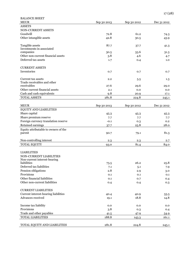| <b>BALANCE SHEET</b>                 |             |             |             |
|--------------------------------------|-------------|-------------|-------------|
| <b>MEUR</b>                          | Sep 30 2013 | Sep 30 2012 | Dec 31 2012 |
| <b>ASSETS</b>                        |             |             |             |
| NON-CURRENT ASSETS                   |             |             |             |
| Goodwill                             | 72.8        | 61.2        | 74.3        |
| Other intangible assets              | 42.8        | 30.5        | 43.9        |
|                                      |             |             |             |
| Tangible assets                      | 87.7        | 37.7        | 41.3        |
| Investments in associated            |             |             |             |
| companies                            | 30.5        | 33.6        | 31.3        |
| Other non-current financial assets   | 3.8         | 4.6         | 4.7         |
| Deferred tax assets                  | 1.7         | 0.4         | 1.0         |
|                                      |             |             |             |
| <b>CURRENT ASSETS</b>                |             |             |             |
| Inventories                          | 0.7         | 0.7         | 0.7         |
|                                      |             |             |             |
| <b>Current tax assets</b>            | 2.2         | 5.5         | $1.3\,$     |
| Trade receivables and other          |             |             |             |
| receivables                          | 27.6        | 29.6        | 29.0        |
| Other current financial assets       | 2.1         | 0.0         | 0.0         |
| Cash and cash equivalents            | 9.8         | 20.9        | 17.1        |
| <b>TOTAL ASSETS</b>                  | 281.8       | 224.8       | 245.1       |
|                                      |             |             |             |
| <b>MEUR</b>                          | Sep 30 2013 | Sep 30 2012 | Dec 31 2012 |
| EQUITY AND LIABILITIES               |             |             |             |
| Share capital                        |             |             |             |
| Share premium reserve                | 45.3        | 45.3        | 45.3        |
| Foreign currency translation reserve | 7.7         | 7.7         | 7.7         |
|                                      | $-0.1$      | 0.3         | 0.2         |
| Retained earnings                    | 37.7        | 25.8        | 28.0        |
| Equity attributable to owners of the |             |             |             |
| parent                               | 90.7        | 79.1        | 81.3        |
|                                      |             |             |             |
| Non-controlling interest             | 2.3         | 2.3         | 2.7         |
| TOTAL EQUITY                         | 93.0        | 81.4        | 84.0        |
|                                      |             |             |             |
| <b>LIABILITIES</b>                   |             |             |             |
| NON-CURRENT LIABILITIES              |             |             |             |
| Non-current interest-bearing         |             |             |             |
| liabilities                          | 73.5        | 26.2        | $\rm 25.8$  |
| Deferred tax liabilities             | 7.1         | 5.1         | 7.9         |
| Pension obligations                  | 2.8         | 2.9         | 3.0         |
| Provisions                           | 0.1         | 0.1         | 0.1         |
| Other financial liabilities          | 0.1         | 0.7         | 0.4         |
| Other non-current liabilities        | 0.4         | 0.4         | 0.3         |
|                                      |             |             |             |
| <b>CURRENT LIABILITIES</b>           |             |             |             |
| Current interest-bearing liabilities | 40.4        | 40.9        | 53.5        |
| Advances received                    | 19.1        | 18.8        | 14.8        |
|                                      |             |             |             |
| Income tax liability                 | 0.0         | 0.0         | 0.0         |
| Provisions                           | 3.8         | 0.3         | 0.4         |
| Trade and other payables             | 41.5        | 47.9        | 54.9        |
| TOTAL LIABILITIES                    | 188.8       | 143.3       | 161.1       |
|                                      |             |             |             |
| TOTAL EQUITY AND LIABILITIES         | 281.8       | 224.8       | 245.1       |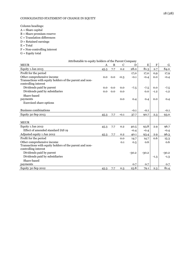#### CONSOLIDATED STATEMENT OF CHANGE IN EQUITY

Column headings:

- $A =$ Share capital
- B = Share premium reserve
- $C =$ Translation differences
- D = Retained earnings
- $E = Total$
- F = Non-controlling interest
- $G =$  Equity total

| Attributable to equity holders of the Parent Company    |      |     |        |         |             |             |         |
|---------------------------------------------------------|------|-----|--------|---------|-------------|-------------|---------|
| <b>MEUR</b>                                             | A    | B   | C      | D       | $\mathbf E$ | $\mathbf F$ | G       |
| Equity 1 Jan 2013                                       | 45.3 | 7.7 | 0.2    | 28.0    | 81.3        | 2.7         | 84.0    |
| Profit for the period                                   |      |     |        | 17,0    | 17,0        | 0,9         | 17,9    |
| Other comprehensive income                              | 0.0  | 0.0 | $-0.3$ | $-0.1$  | $-0.4$      | 0.0         | $-0.4$  |
| Transactions with equity holders of the parent and non- |      |     |        |         |             |             |         |
| controlling interest                                    |      |     |        |         |             |             |         |
| Dividends paid by parent                                | 0.0  | 0.0 | 0.0    | $-7.5$  | $-7.5$      | 0.0         | $-7.5$  |
| Dividends paid by subsidiaries                          | 0.0  | 0.0 | 0.0    |         | 0.0         | $-1.2$      | $-1.2$  |
| Share-based                                             |      |     |        |         |             |             |         |
| payments                                                |      |     | 0.0    | 0.4     | 0.4         | 0.0         | 0.4     |
| <b>Exercised share options</b>                          |      |     |        |         |             |             |         |
|                                                         |      |     |        |         |             |             |         |
| <b>Business combinations</b>                            |      |     |        | $-0.1$  | $-0.1$      |             | $-0.1$  |
| Equity 30 Sep 2013                                      | 45.3 | 7.7 | $-0.1$ | 37.7    | 90.7        | 2.3         | 93.0    |
|                                                         |      |     |        |         |             |             |         |
| <b>MEUR</b>                                             |      |     |        |         |             |             |         |
| Equity 1 Jan 2012                                       | 45.3 | 7.7 | 0.2    | 40.5    | 93.8        | 2.9         | 96.7    |
| Effect of amended standard IAS 19                       |      |     |        | $-0.4$  | $-0.4$      |             | $-0.4$  |
| Adjusted equity 1 Jan 2012                              | 45.3 | 7.7 | 0.2    | 40.1    | 93.4        | 2.9         | 96.3    |
| Profit for the period                                   |      |     | 0.0    | 14.7    | 14.7        | 0.6         | 15.3    |
| Other comprehensive income                              |      |     | 0.1    | 0.5     | 0.6         |             | 0.6     |
| Transactions with equity holders of the parent and non- |      |     |        |         |             |             |         |
| controlling interest                                    |      |     |        |         |             |             |         |
| Dividends paid by parent                                |      |     |        | $-30.2$ | $-30.2$     |             | $-30.2$ |
| Dividends paid by subsidiaries                          |      |     |        |         |             | $-1.3$      | $-1.3$  |
| Share-based                                             |      |     |        |         |             |             |         |
| payments                                                |      |     |        | 0.7     | 0.7         |             | 0.7     |
| Equity 30 Sep 2012                                      | 45.3 | 7.7 | 0.3    | 25.8    | 79.1        | 2.3         | 81.4    |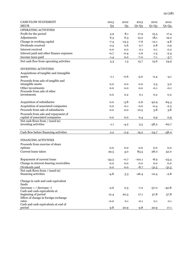| <b>CASH FLOW STATEMENT</b>                        | 2013    | 2012    | 2013     | 2012    | 2012    |
|---------------------------------------------------|---------|---------|----------|---------|---------|
| <b>MEUR</b>                                       | $Q_3$   | $Q_3$   | $Q1-Q3$  | $Q1-Q3$ | $Q1-Q4$ |
| OPERATING ACTIVITIES                              |         |         |          |         |         |
| Profit for the period                             | 5.9     | 8.1     | 17.9     | 15.3    | 17.4    |
| Adjustments                                       | 6.3     | 6.3     | 13.2     | 18,1    | 19.2    |
| Change in working capital                         | $-7.4$  | $-13.3$ | $-7.6$   | $-12.1$ | $-4.8$  |
| Dividends received                                | 0.5     | 0.6     | 0.7      | 0.8     | 0,9     |
| Interest received                                 | 0.0     | 0.0     | 0.1      | 0.1     | 0.2     |
| Interest paid and other finance expenses          | $-0,7$  | $-0.4$  | $-1.6$   | $-1.5$  | $-2.4$  |
| Income taxes paid                                 | -1.4    | 0.0     | $-7.0$   | $-7.1$  | $-5.7$  |
| Net cash flow from operating activities           | 3.3     | 1.3     | 15.7     | 13.6    | 24.9    |
| <b>INVESTING ACTIVITIES</b>                       |         |         |          |         |         |
| Acquisitions of tangible and intangible<br>assets | $-1.1$  | -0.6    | $-5.0$   | $-2.4$  | $-4.1$  |
| Proceeds from sale of tangible and                |         |         |          |         |         |
| intangible assets                                 | 0.0     | 0.0     | 0.0      | 2.5     | 3.0     |
| Other investments                                 | 0.0     | 0.0     | 0.0      | $-0.1$  | $-0.1$  |
| Proceeds from sale of other                       |         |         |          |         |         |
| investments                                       | 0.0     | 0.2     | 0.1      | 0.2     | 0.2     |
| Acquisition of subsidiaries                       | 0.0     | $-3.8$  | $-2.6$   | $-42.9$ | $-64.3$ |
| Acquisition of associated companies               | 0.0     | $-0.1$  | 0.0      | $-0.4$  | $-2.3$  |
| Proceeds from sale of subsidiaries                | 0.0     | 0.0     | 10.5     | $3.8\,$ | 3.8     |
| Proceeds from sale and repayment of               |         |         |          |         |         |
| capital of associated companies                   | 0.0     | 0.0     | 0.4      | 0,9     | 0,9     |
| Net cash flows from / (used in)                   |         |         |          |         |         |
| investing activities                              | $-1.1$  | $-4.2$  | 3.5      | $-38.2$ | $-62.7$ |
| Cash flow before financing activities             | 2.2     | $-2.9$  | 19.2     | $-24.7$ | $-38.0$ |
|                                                   |         |         |          |         |         |
| <b>FINANCING ACTIVITIES</b>                       |         |         |          |         |         |
| Proceeds from exercise of share                   |         |         |          |         |         |
| options                                           | 0.0     | 0.0     | 0.0      | 0.0     | 0.0     |
| Current loans taken                               | 29.5    | 4.0     | 83.5     | 28.0    | 52.0    |
| Repayment of current loans                        | $-34.3$ | $-0.7$  | $-101.1$ | $-8.9$  | $-23.4$ |
| Change in interest-bearing receivables            | 0.0     | 0.0     | 0.0      | 0.0     | 0.0     |
| Dividends paid                                    | 0.0     | 0.0     | $-8.7$   | $-31.5$ | $-31.5$ |
| Net cash flows from / (used in)                   |         |         |          |         |         |
| financing activities                              | $-4.8$  | 3.3     | $-26.4$  | $-12.4$ | $-2.8$  |
| Change in cash and cash equivalent                |         |         |          |         |         |
| funds<br>$(increase + / decrease -)$              | $-2.6$  |         |          |         |         |
| Cash and cash equivalents at                      |         | 0.5     | $-7.2$   | $-37.0$ | $-40.8$ |
| beginning of period                               | 12.4    | 20.3    | 17.1     | 57.8    | 57.8    |
| Effect of change in foreign exchange              |         |         |          |         |         |
| rates                                             | $-0.0$  | 0.1     | $-0.1$   | 0.1     | 0.1     |
| Cash and cash equivalents at end of<br>period     | 9.8     | 20.9    | 9.8      | 20.9    | 17.1    |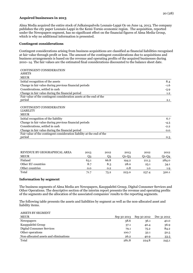#### **Acquired businesses in 2013**

Alma Media acquired the entire stock of Julkaisupalvelu Lounais-Lappi Oy on June 14, 2013. The company publishes the city paper Lounais-Lappi in the Kemi-Tornio economic region. The acquisition, reported under the Newspapers segment, has no significant effect on the financial figures of Alma Media Group, which is why no additional information is presented.

#### **Contingent considerations**

Contingent considerations arising from business acquisitions are classified as financial liabilities recognised at fair value through profit or loss. The amount of the contingent considerations due to acquisitions and business arrangements is based on the revenue and operating profits of the acquired businesses during 2010–14. The fair values are the estimated final considerations discounted to the balance sheet date.

| <b>ASSETS</b><br><b>MEUR</b><br>Initial recognition of the assets<br>8.4<br>Change in fair value during previous financial periods<br>$-1.6$ |
|----------------------------------------------------------------------------------------------------------------------------------------------|
|                                                                                                                                              |
|                                                                                                                                              |
|                                                                                                                                              |
|                                                                                                                                              |
| Considerations, settled in cash<br>$-5.9$                                                                                                    |
| Change in fair value during the financial period<br>1.2                                                                                      |
| Fair value of the contingent consideration assets at the end of the                                                                          |
| period<br>2.1                                                                                                                                |
| CONTINGENT CONSIDERATION<br><b>LIABILITY</b><br><b>MEUR</b>                                                                                  |
| Initial recognition of the liability<br>6.7                                                                                                  |
| Change in fair value during previous financial periods<br>$-4.3$                                                                             |
| Considerations, settled in cash<br>$-2.2$                                                                                                    |
| Change in fair value during the financial period<br>0.0                                                                                      |
| Fair value of the contingent consideration liability at the end of the                                                                       |
| period<br>0.3                                                                                                                                |

| REVENUE BY GEOGRAPHICAL AREA | 2013 | 2012 | 2013  | 2012  | 2012  |
|------------------------------|------|------|-------|-------|-------|
| <b>MEUR</b>                  | Q3   | Q3   | Q1-Q3 | Q1-Q3 | Q1-Q4 |
| Finland                      | 63.1 | 66.8 | 194.2 | 211.3 | 284.0 |
| Other EU countries           | 8.7  | 8.3  | 28.0  | 25.1  | 34.1  |
| Other countries              | 0.0  | 0.2  | 0.8   | 1.0   | 1.9   |
| Total                        | 71.7 | 75.2 | 223.0 | 237.4 | 320.1 |

#### **Information by segment**

The business segments of Alma Media are Newspapers, Kauppalehti Group, Digital Consumer Services and Other Operations. The descriptive section of the interim report presents the revenue and operating profits of the segments and the allocation of the associated companies' results to the reporting segments.

The following table presents the assets and liabilities by segment as well as the non-allocated asset and liability items.

ASSETS BY SEGMENT

| <b>MEUR</b>                           | Sep 30 2013 | Sep 30 2012 | Dec 31 2012 |
|---------------------------------------|-------------|-------------|-------------|
| Newspapers                            | 38.6        | 36.1        | 40.0        |
| Kauppalehti Group                     | 37.1        | 40.4        | 36.9        |
| Digital Consumer Services             | 79.1        | 75.2        | 84.2        |
| Other operations                      | 100.7       | 32.1        | 50.5        |
| Non-allocated assets and eliminations | 26.2        | 40.9        | 33.5        |
| Total                                 | 281.8       | 224.8       | 245.1       |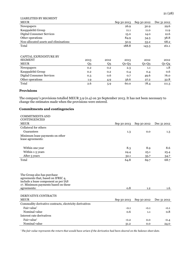| <b>LIABILITIES BY SEGMENT</b>         |                |                |             |             |             |
|---------------------------------------|----------------|----------------|-------------|-------------|-------------|
| <b>MEUR</b>                           |                |                | Sep 30 2013 | Sep 30 2012 | Dec 31 2012 |
| <b>Newspapers</b>                     |                |                | 26.9        | 30.9        | 29.6        |
| Kauppalehti Group                     |                |                | 11.1        | 11.0        | 11.9        |
| Digital Consumer Services             |                |                | 15.0        | 14.0        | 12.6        |
| Other operations                      |                |                | 84.9        | 34.3        | 38.8        |
| Non-allocated assets and eliminations |                |                | 50.9        | 53.2        | 68.2        |
| Total                                 |                |                | 188.8       | 143.3       | 161.1       |
|                                       |                |                |             |             |             |
| <b>CAPITAL EXPENDITURE BY</b>         |                |                |             |             |             |
| <b>SEGMENT</b>                        | 2013           | 2012           | 2013        | 2012        | 2012        |
| <b>MEUR</b>                           | Q <sub>3</sub> | Q <sub>3</sub> | $Q1-Q3$     | $Q1-Q3$     | $Q1-Q4$     |
| Newspapers                            | 0.2            | 0.2            | 2.3         | 1.1         | 1.8         |
| Kauppalehti Group                     | 0.2            | 0.2            | 0.4         | 0.4         | 0.6         |
| <b>Digital Consumer Services</b>      | 0.3            | 0.6            | 0.7         | 49.6        | 76.0        |
| Other operations                      | 1.9            | 4.9            | 56.6        | 27.2        | 32.8        |
| Total                                 | 2.6            | 5.9            | 60.0        | 78.4        | 111.3       |

## **Provisions**

The company's provisions totalled MEUR 3.9 (0.4) on 30 September 2013. It has not been necessary to change the estimates made when the provisions were entered.

#### **Commitments and contingencies**

| <b>COMMITMENTS AND</b><br><b>CONTINGENCIES</b>                    |             |             |             |
|-------------------------------------------------------------------|-------------|-------------|-------------|
| <b>MEUR</b>                                                       | Sep 30 2013 | Sep 30 2012 | Dec 31 2012 |
| Collateral for others                                             |             |             |             |
| Guarantees                                                        | 1.3         | 0.0         | 1.3         |
| Minimum lease payments on other                                   |             |             |             |
| lease agreements:                                                 |             |             |             |
|                                                                   |             |             |             |
| Within one year                                                   | 8.3         | 8.9         | 8.6         |
| Within 1-5 years                                                  | 24.4        | 25.1        | 25.4        |
| After 5 years                                                     | 32.1        | 35.7        | 34.7        |
| Total                                                             | 64.8        | 69.7        | 68.7        |
|                                                                   |             |             |             |
|                                                                   |             |             |             |
|                                                                   |             |             |             |
| The Group also has purchase<br>agreements that, based on IFRIC 4, |             |             |             |
| include a lease component as per IAS                              |             |             |             |
| 17. Minimum payments based on these                               |             |             |             |
| agreements:                                                       | 0.8         | 1.2         | 1.6         |
|                                                                   |             |             |             |
| <b>DERIVATIVE CONTRACTS</b>                                       |             |             |             |
| <b>MEUR</b>                                                       | Sep 30 2013 | Sep 30 2012 | Dec 31 2012 |
| Commodity derivative contracts, electricity derivatives           |             |             |             |
| Fair value*                                                       | $-0.1$      | $-0.1$      | $-0.1$      |
| Nominal value                                                     | 0.6         | 1.1         | 0.8         |
| Interest rate derivatives                                         |             |             |             |
| Fair value*                                                       | $-0.2$      | 0.0         | $-0.4$      |
| Nominal value                                                     | 31.2        | 0.0         | 24.0        |

*\*The fair value represents the return that would have arisen if the derivative had been cleared on the balance sheet date.*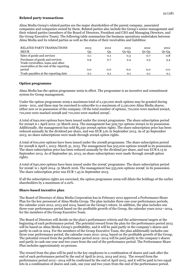#### **Related party transactions**

Alma Media Group's related parties are the major shareholders of the parent company, associated companies and companies owned by them. Related parties also include the Group's senior management and their related parties (members of the Board of Directors, President and CEO and Managing Directors, and the Group Executive Team). The following table summarises the business operations undertaken between Alma Media and its related parties as well as the status of their receivables and liabilities:

| <b>RELATED PARTY TRANSACTIONS</b>                                                                                | 2013 | 2012 | 2013  | 2012  | 2012    |
|------------------------------------------------------------------------------------------------------------------|------|------|-------|-------|---------|
| <b>MEUR</b>                                                                                                      | Q3   | Q3   | Q1-Q3 | Q1-Q3 | $Q1-Q4$ |
| Sales of goods and services                                                                                      | 0.1  | 0.1  | 0.3   | 0.7   | 0.8     |
| Purchases of goods and services<br>Trade receivables, loans and other<br>receivables at the end of the reporting | O,9  | 0.7  | 2.4   | 2.5   | 3.4     |
| period                                                                                                           | 0.0  | 0.0  | 0.0   | 0.0   | 0.0     |
| Trade payables at the reporting date                                                                             | 0.1  | 0.1  | 0.1   | 0.1   | 0.1     |

#### **Option programme**

Alma Media has the option programme 2009 in effect. The programme is an incentive and commitment system for Group management.

Under the option programme 2009 a maximum total of 2,130,000 stock options may be granted during 2009– 2011, and these may be exercised to subscribe to a maximum of 2,130,000 Alma Media shares, either new or in possession of the company. Of the total number of options, 710,000 were marked 2009A, 710,000 were marked 2009B and 710,000 were marked 2009C.

A total of 640,000 options have been issued under the 2009A programme. The share subscription period for 2009A is 1 April 2012–31 March 2014. The management has 509,750 options 2009A in its possession. Additionally, the management has sold 85,250 2009A option rights. The share subscription price has been reduced annually by the dividend per share, and was EUR 3.61 in September 2013. As of 30 September 2013, no share subscriptions were made through 2009A option rights.

A total of 610,000 options have been issued under the 2009B programme. The share subscription period for 2009B is April 1, 2013–March 31, 2015. The management has 505,000 options 2009B in its possession. The share subscription price has been reduced annually by the dividend per share, and was EUR 6.13 in September 2013. As of September 30, 2013, no share subscriptions were made through 2009B option rights.

A total of 640,000 options have been issued under the 2009C programme. The share subscription period for 2009C is 1 April 2014–31 March 2016. The management has 535,000 options 2009C in its possession. The share subscription price was EUR 7.45 in September 2013.

If all the subscription rights are exercised, the option programme 2009 will dilute the holdings of the earlier shareholders by a maximum of 2.22%.

#### **Share-based incentive plan**

The Board of Directors of Alma Media Corporation has in February 2012 approved a Performance Share Plan for the key personnel of Alma Media Group. The plan includes three one-year performance periods, the calendar years 2012, 2013 and 2014, based on the Group's return. In addition, the plan includes one three-year performance period based on the profitable growth of the Group, the calendar years 2012—2014, for the members of the Group Executive Team.

The Board of Directors will decide on the plan's performance criteria and the achievement targets at the beginning of each performance period. The potential reward from the plan for the performance period 2013 will be based on Alma Media Group's profitability, and it will be paid partly in the company's shares and partly in cash in 2014. For the members of the Group Executive Team, the plan additionally includes one three-year performance period, the calendar years 2012–2014, based on the profitable growth of the Group. The potential reward from the performance period 2012–2014 will be paid partly in the company's shares and partly in cash one year and two years from the end of the performance period. The Performance Share Plan includes approximately 20 persons.

The reward from the plan will be paid to the key employees in a combination of shares and cash after the end of each performance period by the end of April in 2013, 2014 and 2015. The reward from the performance period 2012—2014 will be confirmed by the end of April 2015, and it will be paid in two equal lots in a combination of shares and cash, one year and two years from the end of the performance period.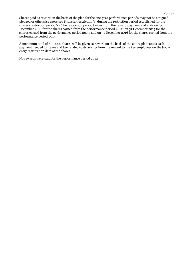Shares paid as reward on the basis of the plan for the one-year performance periods may not be assigned, pledged or otherwise exercised (transfer restriction/s) during the restriction period established for the shares (restriction period/s). The restriction period begins from the reward payment and ends on 31 December 2014 for the shares earned from the performance period 2012; on 31 December 2015 for the shares earned from the performance period 2013; and on 31 December 2016 for the shares earned from the performance period 2014.

A maximum total of 600,000 shares will be given as reward on the basis of the entire plan, and a cash payment needed for taxes and tax-related costs arising from the reward to the key employees on the bookentry registration date of the shares.

No rewards were paid for the performance period 2012.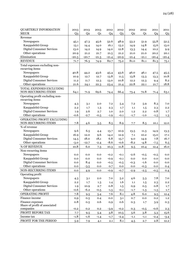| QUARTERLY INFORMATION                              | 2013           | 2013           | 2013           | 2012           | 2012     | 2012           | 2012           | 2011           | 2011    |
|----------------------------------------------------|----------------|----------------|----------------|----------------|----------|----------------|----------------|----------------|---------|
| <b>MEUR</b>                                        | Q <sub>3</sub> | Q <sub>2</sub> | Q <sub>1</sub> | Q <sub>4</sub> | $Q_3$    | Q <sub>2</sub> | Q <sub>1</sub> | Q <sub>4</sub> | $Q_3$   |
| Revenue                                            |                |                |                |                |          |                |                |                |         |
| Newspapers                                         | 45.1           | 47.3           | 45.6           | 52.6           | 48.9     | 53.2           | 51.9           | 55.8           | 52.5    |
| Kauppalehti Group                                  | 13.1           | 14.4           | 14.0           | 16.1           | 13.2     | 14.9           | 14.8           | 15.6           | 13.0    |
| <b>Digital Consumer Services</b>                   | 13.0           | 14.2           | 14.9           | 14.0           | 12.8     | 13.3           | 14.4           | 10.2           | 9.9     |
| Other operations                                   | 20.9           | 21.2           | 21.7           | 21.5           | 21.2     | 21.0           | 21.0           | 20.2           | 20.1    |
| Elimination                                        | $-20.3$        | $-20.7$        | $-21.3$        | $-21.4$        | $-20.9$  | $-21.4$        | $-21.1$        | $-20.4$        | $-20.4$ |
| <b>REVENUE</b>                                     | 71.7           | 76.3           | 74.9           | 82.7           | 75.2     | 81.0           | 81.1           | 81.3           | 75.1    |
| Total expenses excluding non-                      |                |                |                |                |          |                |                |                |         |
| recurring items                                    |                |                |                |                |          |                |                |                |         |
| Newspapers                                         | 40.8           | 44.2           | 43.6           | 45.4           | 43.6     | 46.0           | 46.1           | 47.5           | 45.5    |
| Kauppalehti Group                                  | 10.9           | 12.7           | 12.7           | 13.8           | 11.5     | 13.8           | 13.3           | 13.3           | 10.8    |
| <b>Digital Consumer Services</b>                   | 11.2           | 11.7           | 12.3           | 13.0           | 10.8     | 12.2           | 12.3           | 9.4            | 8.2     |
| Other operations                                   | 21.6           | 24.1           | 22.3           | 23.4           | 21.4     | 22.8           | 22.1           | 21.7           | 18.8    |
| TOTAL EXPENSES EXCLUDING<br>NON-RECURRING ITEMS    | 64.1           | 71.9           | 69.6           | 74.4           | 66.4     | 73.4           | 72.8           | 71.4           | 63.1    |
| Operating profit excluding non-<br>recurring items |                |                |                |                |          |                |                |                |         |
| Newspapers                                         | 4.3            | 3.1            | 2.0            | 7.2            | 5.4      | 7.2            | 5.9            | 8.3            | 7.0     |
| Kauppalehti Group                                  | 2.2            | 1.7            | 1.3            | 2.3            | 1.7      | 1.1            | 1.5            | 2.3            | 2.2     |
| <b>Digital Consumer Services</b>                   | 1.9            | 2.6            | 2.7            | 1.0            | 2.0      | 1.2            | 2.2            | 0.8            | 1.7     |
| Other operations                                   | $-0.6$         | $-2.7$         | $-0.5$         | $-1.9$         | $-0.1$   | $-1.7$         | $-1.0$         | $-1.5$         | 1.3     |
| OPERATING PROFIT EXCLUDING                         |                |                |                |                |          |                |                |                |         |
| NON-RECURRING ITEMS                                | 7.8            | 4.6            | 5.5            | 8.5            | 8.9      | 7.7            | 8.5            | 10.1           | 12.0    |
| % of revenue                                       |                |                |                |                |          |                |                |                |         |
| Newspapers                                         | 9.6            | 6.5            | 4.4            | 13.7           | 10.9     | 13.5           | 11.3           | 14.9           | 13.3    |
| Kauppalehti Group                                  | 16.9           | 12.0           | 9.6            | 14.2           | 12.9     | 7.1            | 10.2           | 15.0           | 17.1    |
| <b>Digital Consumer Services</b>                   | 14.5           | 18.0           | 18,1           | 6.8            | 15.7     | 9.0            | 14.9           | 7.8            | 16.7    |
| Other operations                                   | $-3.0$         | $-12.7$        | $-2.4$         | $-8.6$         | $-0.6$   | $-8.2$         | $-4.8$         | $-7.5$         | 6.5     |
| % OF REVENUE                                       | 10.8           | 6.0            | 7.3            | 10.3           | 11.8     | 9.5            | 10.4           | 12.4           | 16.0    |
| Non-recurring items                                |                |                |                |                |          |                |                |                |         |
| Newspapers                                         | 0.0            | 0.0            | 0.0            | $-0.2$         | $-0.1$   | $-2.6$         | $-0.5$         | $-0.5$         | 0.0     |
| Kauppalehti Group                                  | 0.0            | 0.0            | 0.0            | $-0.9$         | $-0.1$   | 0.0            | 0.0            | 0.0            | 0.0     |
| <b>Digital Consumer Services</b>                   | 0.0            | 8.4            | 0.0            |                | $-0.5$   | $-0.3$         | $-1.6$         | 0.0            | 0.0     |
| Other operations                                   | 0.0            |                | $_{0.0}$       | $-0.5$         | $_{0.0}$ |                |                | $_{0.0}$       |         |
| NON-RECURRING ITEMS                                |                | $-3.5$         |                | 0.7            |          | 0.0            | $-0.3$         |                | 0.4     |
| Operating profit                                   | 0.0            | 4.9            | 0.0            | $-0.9$         | $-0.7$   | $-2.9$         | $-2.5$         | $-0.5$         | 0.4     |
|                                                    |                |                |                |                |          |                |                |                |         |
| Newspapers                                         | 4.3            | 3.1            | $2.0\,$        | 7.0            | 5.2      | 4.6            | 5.3            | 7.8            | 7.0     |
| Kauppalehti Group                                  | 2.2            | 1.7            | 1.3            | 1.4            | 1.6      | 1.1            | 1.5            | 2.3            | 2.2     |
| Digital Consumer Services                          | 1.9            | 10.9           | 2.7            | 0.8            | 1.5      | 0,9            | 0.5            | 0.8            | 1.7     |
| Other operations                                   | $-0.6$         | $-6.2$         | $-0.5$         | $-1.5$         | $-0.1$   | $-1.7$         | $-1.3$         | $-1.5$         | 1.7     |
| <b>OPERATING PROFIT</b>                            | 7.8            | 9.5            | 5.4            | 7.6            | 8.1      | 4.8            | 6.0            | 9.5            | 12.4    |
| Finance income                                     | 0,9            | 0.5            | 0.4            | 0.0            | 3.1      | 0.7            | 0.0            | 0.2            | 1.2     |
| Finance expenses                                   | 0.8            | 0.5            | 0.6            | 0,9            | 0.6      | 0.3            | 1.7            | 3.9            | 0.3     |
| Share of profit of associated<br>companies         | $-0.2$         | 0.2            | 0.2            | $-3.9$         | $-0.2$   | 0.3            | $-0.5$         | $-0.6$         | 2.3     |
| PROFIT BEFORE TAX                                  | 7.7            | 9.5            | 5.4            | 3.8            | 10.5     | 5.6            | 3.8            | 5.3            | 15.6    |
|                                                    |                |                |                |                |          |                |                |                |         |

Income tax  $\begin{vmatrix} -1.8 & -1.6 & -1.4 & -1.7 & -2.4 & -1.1 & -1.1 & -2.4 & -3.4 \end{vmatrix}$ PROFIT FOR THE PERIOD  $\begin{array}{|c|c|c|c|c|c|c|c|c|} \hline \end{array}$  5.9 7.9 4.1 2.1 8.1 4.5 2.7 2.8 12.2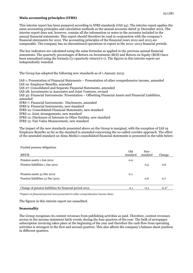#### **Main accounting principles (IFRS)**

This interim report has been prepared according to IFRS standards (IAS 34). The interim report applies the same accounting principles and calculation methods as the annual accounts dated 31 December 2012. The interim report does not, however, contain all the information or notes to the accounts included in the annual financial statements. This report should therefore be read in conjunction with the company's financial statements for 2012. The accounting principles of the financial years 2012 and 2013 are comparable. The company has no discontinued operations to report in the 2012–2013 financial periods.

The key indicators are calculated using the same formulae as applied in the previous annual financial statements. The quarterly percentages of Return on Investment (ROI) and Return on Equity (ROE) have been annualised using the formula ((1+quarterly return)4)-1). The figures in this interim report are independently rounded.

The Group has adopted the following new standards as of 1 January 2013:

IAS 1: Presentation of Financial Statements – Presentation of other comprehensive income, amended IAS 19: Employee Benefits, amended

IAS 27: Consolidated and Separate Financial Statements, amended

IAS 28: Investments in Associates and Joint Ventures, revised

IAS 32: Financial Instruments: Presentation – Offsetting Financial Assets and Financial Liabilities, amended

IFRS 7: Financial Instruments: Disclosures, amended

IFRS 9: Financial Instruments, new standard

IFRS 10: Consolidated Financial Statements, new standard

IFRS 11: Joint Arrangements, new standard

IFRS 12: Disclosure of Interests in Other Entities, new standard

IFRS 13: Fair Value Measurement, new standard

The impact of the new standards presented above on the Group is marginal, with the exception of IAS 19 Employee Benefits as far as the standard is amended concerning the so-called corridor approach. The effect of the amended standard on Alma Media's consolidated financial statements is presented in the table below:

| Funded pension obligations                              |                 |                        |         |
|---------------------------------------------------------|-----------------|------------------------|---------|
| <b>MEUR</b>                                             | Old<br>standard | <b>New</b><br>standard | Change  |
| Pension assets 1 Jan 2012                               | 0.0             |                        |         |
| Pension liabilities 1 Jan 2012                          |                 | 0.5                    | 0.6     |
|                                                         |                 |                        |         |
| Pension assets 31 Dec 2012                              | 0.1             |                        |         |
| Pension liabilities 31 Dec 2012                         |                 | 0.6                    | 0.7     |
|                                                         |                 |                        |         |
| Change of pension liabilities for financial period 2012 | 0.1             | $-0.1$                 | $-0.2*$ |

*\*Impact on financial period 2012 presented in other comprehensive income items*

The figures in this interim report are unaudited.

#### **Seasonality**

The Group recognises its content revenues from publishing activities as paid. Therefore, content revenues accrue in the income statement fairly evenly during the four quarters of the year. The bulk of newspaper subscription invoicing takes place at the beginning of the year and therefore the cash flow from operating activities is strongest in the first and second quarters. This also affects the company's balance sheet position in different quarters.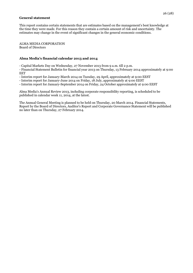#### **General statement**

This report contains certain statements that are estimates based on the management's best knowledge at the time they were made. For this reason they contain a certain amount of risk and uncertainty. The estimates may change in the event of significant changes in the general economic conditions.

ALMA MEDIA CORPORATION Board of Directors

#### **Alma Media's financial calendar 2013 and 2014**

- Capital Markets Day on Wednesday, 27 November 2013 from 9 a.m. till 2 p.m.

- Financial Statement Bulletin for financial year 2013 on Thursday, 13 February 2014 approximately at 9:00 EET

- Interim report for January-March 2014 on Tuesday, 29 April, approximately at 9:00 EEST

- Interim report for January-June 2014 on Friday, 18 July, approximately at 9:00 EEST

- Interim report for January-September 2014 on Friday, 24 October approximately at 9:00 EEST

Alma Media's Annual Review 2013, including corporate responsibility reporting, is scheduled to be published in calendar week 11, 2014, at the latest.

The Annual General Meeting is planned to be held on Thursday, 20 March 2014. Financial Statements, Report by the Board of Directors, Auditor's Report and Corporate Governance Statement will be published no later than on Thursday, 27 February 2014.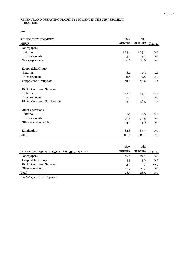#### REVENUE AND OPERATING PROFIT BY SEGMENT IN THE NEW SEGMENT STRUCTURE

2012

| <b>REVENUE BY SEGMENT</b>        | <b>New</b> | Old       |        |
|----------------------------------|------------|-----------|--------|
| <b>MEUR</b>                      | structure  | structure | Change |
| Newspapers                       |            |           |        |
| External                         | 203.4      | 203.4     | 0.0    |
| Inter-segments                   | 3.2        | 3.2       | 0.0    |
| Newspapers total                 | 206.6      | 206.6     | 0.0    |
| Kauppalehti Group                |            |           |        |
| External                         | 58.2       | 56.1      | 2.1    |
| Inter-segments                   | 0.8        | 0.8       | 0.0    |
| Kauppalehti Group total          | 59.0       | 56.9      | 2.1    |
| <b>Digital Consumer Services</b> |            |           |        |
| External                         | 52.2       | 54.3      | $-2.1$ |
| Inter-segments                   | 2.3        | 2.2       | 0.0    |
| Digital Consumer Services total  | 54.5       | 56.5      | $-2.1$ |
| Other operations                 |            |           |        |
| External                         | 6.3        | 6.3       | 0.0    |
| Inter-segments                   | 78.5       | 78.5      | 0.0    |
| Other operations total           | 84.8       | 84.8      | 0.0    |
| Elimination                      | $-84.8$    | $-84.7$   | 0.0    |
| Total                            | 320.1      | 320.1     | 0.0    |

|                                        | <b>New</b> | Old       |        |
|----------------------------------------|------------|-----------|--------|
| OPERATING PROFIT/LOSS BY SEGMENT MEUR* | structure  | structure | Change |
| <b>Newspapers</b>                      | 22.1       | 22.1      | 0.0    |
| Kauppalehti Group                      | 5.5        | 4.6       | 0,9    |
| Digital Consumer Services              | 3.8        | 4.7       | $-0.9$ |
| Other operations                       | $-4.7$     | $-4.7$    | 0.0    |
| Total                                  | 26.5       | 26.5      | 0.0    |

*\* Including non-recurring items*